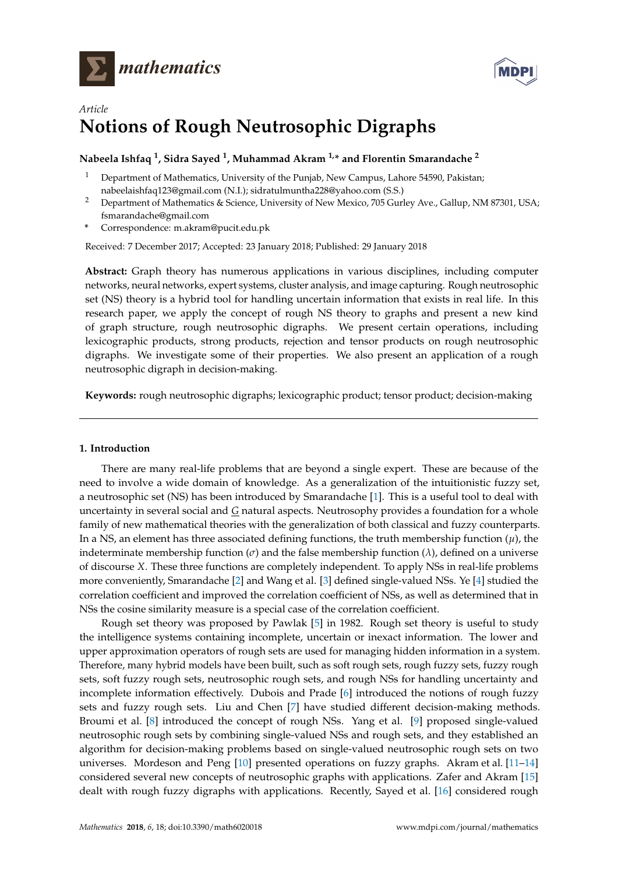



# *Article* **Notions of Rough Neutrosophic Digraphs**

## **Nabeela Ishfaq <sup>1</sup> , Sidra Sayed <sup>1</sup> , Muhammad Akram 1,\* and Florentin Smarandache <sup>2</sup>**

- <sup>1</sup> Department of Mathematics, University of the Punjab, New Campus, Lahore 54590, Pakistan; nabeelaishfaq123@gmail.com (N.I.); sidratulmuntha228@yahoo.com (S.S.)
- <sup>2</sup> Department of Mathematics & Science, University of New Mexico, 705 Gurley Ave., Gallup, NM 87301, USA; fsmarandache@gmail.com
- **\*** Correspondence: m.akram@pucit.edu.pk

Received: 7 December 2017; Accepted: 23 January 2018; Published: 29 January 2018

**Abstract:** Graph theory has numerous applications in various disciplines, including computer networks, neural networks, expert systems, cluster analysis, and image capturing. Rough neutrosophic set (NS) theory is a hybrid tool for handling uncertain information that exists in real life. In this research paper, we apply the concept of rough NS theory to graphs and present a new kind of graph structure, rough neutrosophic digraphs. We present certain operations, including lexicographic products, strong products, rejection and tensor products on rough neutrosophic digraphs. We investigate some of their properties. We also present an application of a rough neutrosophic digraph in decision-making.

**Keywords:** rough neutrosophic digraphs; lexicographic product; tensor product; decision-making

### **1. Introduction**

There are many real-life problems that are beyond a single expert. These are because of the need to involve a wide domain of knowledge. As a generalization of the intuitionistic fuzzy set, a neutrosophic set (NS) has been introduced by Smarandache [\[1\]](#page-18-0). This is a useful tool to deal with uncertainty in several social and *G* natural aspects. Neutrosophy provides a foundation for a whole family of new mathematical theories with the generalization of both classical and fuzzy counterparts. In a NS, an element has three associated defining functions, the truth membership function  $(\mu)$ , the indeterminate membership function  $(\sigma)$  and the false membership function  $(\lambda)$ , defined on a universe of discourse *X*. These three functions are completely independent. To apply NSs in real-life problems more conveniently, Smarandache [\[2\]](#page-18-1) and Wang et al. [\[3\]](#page-18-2) defined single-valued NSs. Ye [\[4\]](#page-18-3) studied the correlation coefficient and improved the correlation coefficient of NSs, as well as determined that in NSs the cosine similarity measure is a special case of the correlation coefficient.

Rough set theory was proposed by Pawlak [\[5\]](#page-18-4) in 1982. Rough set theory is useful to study the intelligence systems containing incomplete, uncertain or inexact information. The lower and upper approximation operators of rough sets are used for managing hidden information in a system. Therefore, many hybrid models have been built, such as soft rough sets, rough fuzzy sets, fuzzy rough sets, soft fuzzy rough sets, neutrosophic rough sets, and rough NSs for handling uncertainty and incomplete information effectively. Dubois and Prade [\[6\]](#page-18-5) introduced the notions of rough fuzzy sets and fuzzy rough sets. Liu and Chen [\[7\]](#page-18-6) have studied different decision-making methods. Broumi et al. [\[8\]](#page-18-7) introduced the concept of rough NSs. Yang et al. [\[9\]](#page-18-8) proposed single-valued neutrosophic rough sets by combining single-valued NSs and rough sets, and they established an algorithm for decision-making problems based on single-valued neutrosophic rough sets on two universes. Mordeson and Peng [\[10\]](#page-18-9) presented operations on fuzzy graphs. Akram et al. [\[11](#page-18-10)[–14\]](#page-18-11) considered several new concepts of neutrosophic graphs with applications. Zafer and Akram [\[15\]](#page-18-12) dealt with rough fuzzy digraphs with applications. Recently, Sayed et al. [\[16\]](#page-18-13) considered rough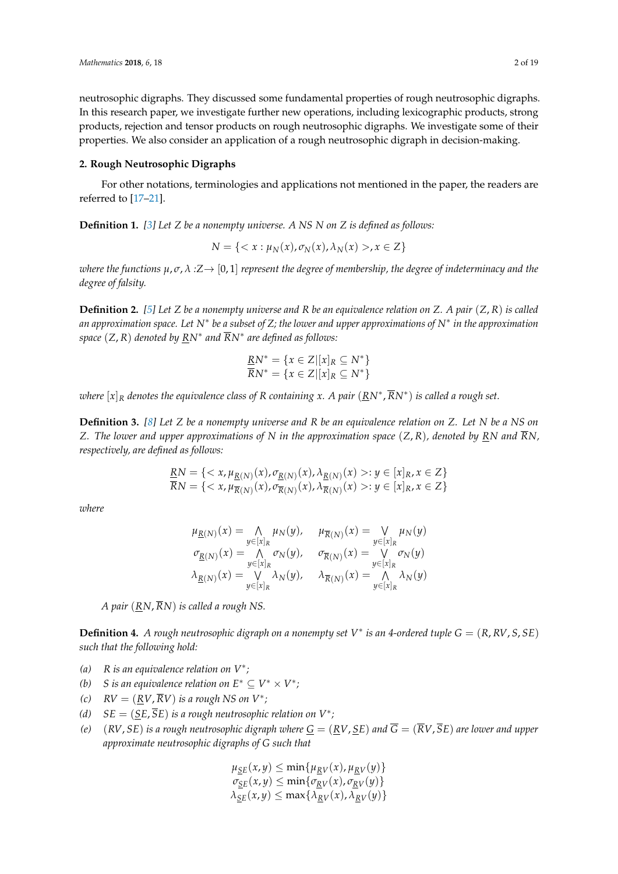neutrosophic digraphs. They discussed some fundamental properties of rough neutrosophic digraphs. In this research paper, we investigate further new operations, including lexicographic products, strong products, rejection and tensor products on rough neutrosophic digraphs. We investigate some of their properties. We also consider an application of a rough neutrosophic digraph in decision-making.

### **2. Rough Neutrosophic Digraphs**

For other notations, terminologies and applications not mentioned in the paper, the readers are referred to [\[17–](#page-18-14)[21\]](#page-18-15).

**Definition 1.** *[\[3\]](#page-18-2) Let Z be a nonempty universe. A NS N on Z is defined as follows:*

$$
N = \{ \langle x : \mu_N(x), \sigma_N(x), \lambda_N(x) \rangle, x \in Z \}
$$

*where the functions*  $\mu, \sigma, \lambda : Z \to [0, 1]$  *represent the degree of membership, the degree of indeterminacy and the degree of falsity.*

**Definition 2.** *[\[5\]](#page-18-4) Let Z be a nonempty universe and R be an equivalence relation on Z. A pair* (*Z*, *R*) *is called an approximation space. Let N*∗ *be a subset of Z; the lower and upper approximations of N*∗ *in the approximation space* (*Z*, *R*) *denoted by RN*∗ *and RN*∗ *are defined as follows:*

$$
\underline{RN}^* = \{x \in Z | [x]_R \subseteq N^*\}
$$
  

$$
\overline{RN}^* = \{x \in Z | [x]_R \subseteq N^*\}
$$

*where* [*x*]*<sup>R</sup> denotes the equivalence class of R containing x. A pair* (*RN*<sup>∗</sup> , *RN*∗ ) *is called a rough set.*

**Definition 3.** *[\[8\]](#page-18-7) Let Z be a nonempty universe and R be an equivalence relation on Z. Let N be a NS on Z. The lower and upper approximations of N in the approximation space* (*Z*, *R*)*, denoted by RN and RN, respectively, are defined as follows:*

$$
\underline{RN} = \{ \langle x, \mu_{\underline{R}(N)}(x), \sigma_{\underline{R}(N)}(x), \lambda_{\underline{R}(N)}(x) \rangle : y \in [x]_R, x \in Z \}
$$
  

$$
\overline{RN} = \{ \langle x, \mu_{\overline{R}(N)}(x), \sigma_{\overline{R}(N)}(x), \lambda_{\overline{R}(N)}(x) \rangle : y \in [x]_R, x \in Z \}
$$

*where*

$$
\begin{array}{lll} \mu_{\underline{R}(N)}(x)=&\bigwedge_{y\in [x]_R}\mu_N(y), & \mu_{\overline{R}(N)}(x)=&\bigvee_{y\in [x]_R}\mu_N(y) \\ \sigma_{\underline{R}(N)}(x)=&\bigwedge_{y\in [x]_R}\sigma_N(y), & \sigma_{\overline{R}(N)}(x)=&\bigvee_{y\in [x]_R}\sigma_N(y) \\ \lambda_{\underline{R}(N)}(x)=&\bigvee_{y\in [x]_R}\lambda_N(y), & \lambda_{\overline{R}(N)}(x)=&\bigwedge_{y\in [x]_R}\lambda_N(y) \end{array}
$$

*A pair* (*RN*, *RN*) *is called a rough NS.*

**Definition 4.** *A rough neutrosophic digraph on a nonempty set V* ∗ *is an 4-ordered tuple G* = (*R*, *RV*, *S*, *SE*) *such that the following hold:*

- *(a) R is an equivalence relation on V*∗ *;*
- *(b) S* is an equivalence relation on  $E^* \subseteq V^* \times V^*$ ;
- (c)  $RV = (RV, RV)$  *is a rough NS on V<sup>\*</sup>*;
- (d)  $SE = (\underline{SE}, SE)$  *is a rough neutrosophic relation on*  $V^*$ ;
- *(e)*  $(RV, SE)$  *is a rough neutrosophic digraph where*  $G = (RV, SE)$  *and*  $\overline{G} = (\overline{R}V, \overline{S}E)$  *are lower and upper approximate neutrosophic digraphs of G such that*

 $\mu_{SE}(x, y) \leq \min\{\mu_{RV}(x), \mu_{RV}(y)\}$  $\sigma_{SE}(x, y) \leq \min\{\sigma_{RV}(x), \sigma_{RV}(y)\}$  $\lambda_{SE}(x, y) \leq \max\{\lambda_{RV}(x), \lambda_{RV}(y)\}$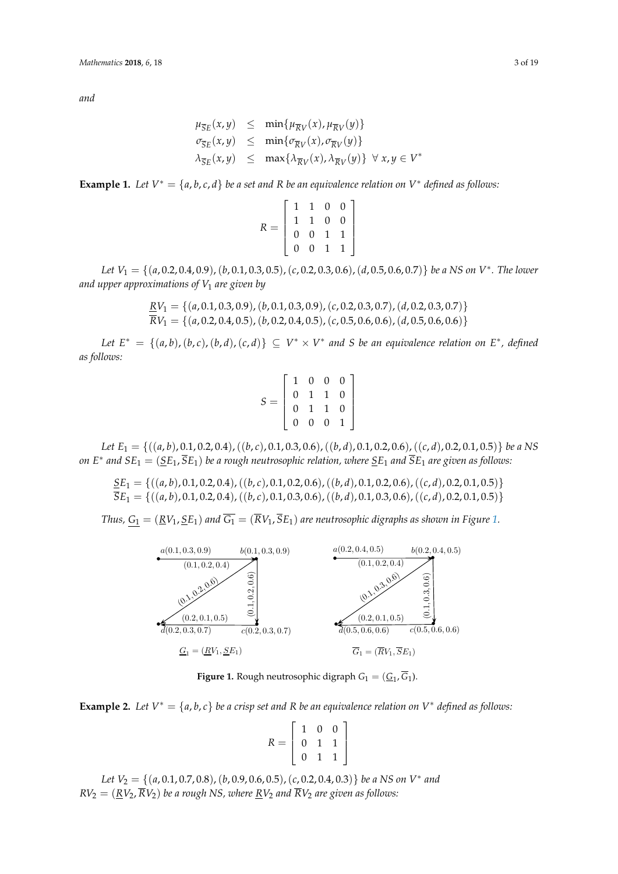*and*

$$
\mu_{\overline{S}E}(x,y) \leq \min\{\mu_{\overline{R}V}(x), \mu_{\overline{R}V}(y)\}
$$
  
\n
$$
\sigma_{\overline{S}E}(x,y) \leq \min\{\sigma_{\overline{R}V}(x), \sigma_{\overline{R}V}(y)\}
$$
  
\n
$$
\lambda_{\overline{S}E}(x,y) \leq \max\{\lambda_{\overline{R}V}(x), \lambda_{\overline{R}V}(y)\} \forall x, y \in V^*
$$

**Example 1.** *Let*  $V^* = \{a, b, c, d\}$  *be a set and R be an equivalence relation on*  $V^*$  *defined as follows:* 

$$
R = \left[ \begin{array}{rrrr} 1 & 1 & 0 & 0 \\ 1 & 1 & 0 & 0 \\ 0 & 0 & 1 & 1 \\ 0 & 0 & 1 & 1 \end{array} \right]
$$

*Let V*<sup>1</sup> = {(*a*, 0.2, 0.4, 0.9),(*b*, 0.1, 0.3, 0.5),(*c*, 0.2, 0.3, 0.6),(*d*, 0.5, 0.6, 0.7)} *be a NS on V* ∗ *. The lower and upper approximations of V*<sup>1</sup> *are given by*

$$
\underline{R}V_1 = \{(a, 0.1, 0.3, 0.9), (b, 0.1, 0.3, 0.9), (c, 0.2, 0.3, 0.7), (d, 0.2, 0.3, 0.7)\}\
$$

$$
\overline{R}V_1 = \{(a, 0.2, 0.4, 0.5), (b, 0.2, 0.4, 0.5), (c, 0.5, 0.6, 0.6), (d, 0.5, 0.6, 0.6)\}\
$$

 $Let E^* = \{(a, b), (b, c), (b, d), (c, d)\} \subseteq V^* \times V^*$  and *S* be an equivalence relation on  $E^*$ , defined *as follows:*

$$
S = \left[ \begin{array}{rrrr} 1 & 0 & 0 & 0 \\ 0 & 1 & 1 & 0 \\ 0 & 1 & 1 & 0 \\ 0 & 0 & 0 & 1 \end{array} \right]
$$

*Let E*<sup>1</sup> = {((*a*, *b*), 0.1, 0.2, 0.4),((*b*, *c*), 0.1, 0.3, 0.6),((*b*, *d*), 0.1, 0.2, 0.6),((*c*, *d*), 0.2, 0.1, 0.5)} *be a NS on E*∗ *and SE*<sup>1</sup> = (*SE*1, *SE*1) *be a rough neutrosophic relation, where SE*<sup>1</sup> *and SE*<sup>1</sup> *are given as follows:*

$$
\frac{\mathcal{S}E_1}{\mathcal{S}E_1} = \{((a, b), 0.1, 0.2, 0.4), ((b, c), 0.1, 0.2, 0.6), ((b, d), 0.1, 0.2, 0.6), ((c, d), 0.2, 0.1, 0.5)\}\
$$

$$
\overline{\mathcal{S}E_1} = \{((a, b), 0.1, 0.2, 0.4), ((b, c), 0.1, 0.3, 0.6), ((b, d), 0.1, 0.3, 0.6), ((c, d), 0.2, 0.1, 0.5)\}
$$

<span id="page-2-0"></span>*Thus,*  $G_1 = (RV_1, \underline{SE}_1)$  *and*  $\overline{G_1} = (\overline{R}V_1, \overline{SE}_1)$  *are neutrosophic digraphs as shown in Figure* [1.](#page-2-0)



**Figure 1.** Rough neutrosophic digraph  $G_1 = (\underline{G}_1, G_1)$ .

**Example 2.** Let  $V^* = \{a, b, c\}$  be a crisp set and R be an equivalence relation on  $V^*$  defined as follows:

$$
R = \left[ \begin{array}{rrr} 1 & 0 & 0 \\ 0 & 1 & 1 \\ 0 & 1 & 1 \end{array} \right]
$$

 $RV_2 = (RV_2, \overline{RV_2})$  be a rough NS, where RV<sub>2</sub> and  $\overline{RV_2}$  are given as follows:  $R_{\text{V2}} = (\text{Rv2}) R_{\text{V2}}$  be a rough new and range  $R_{\text{V2}}$  and  $R_{\text{V2}}$  are given as jointwest. *Let V*<sup>2</sup> = {(*a*, 0.1, 0.7, 0.8),(*b*, 0.9, 0.6, 0.5),(*c*, 0.2, 0.4, 0.3)} *be a NS on V*<sup>∗</sup> *and*  $RV_2 = (\underline{RV}_2, RV_2)$  *be a rough NS, where*  $\underline{RV}_2$  *and RV<sub>2</sub> are given as follows:*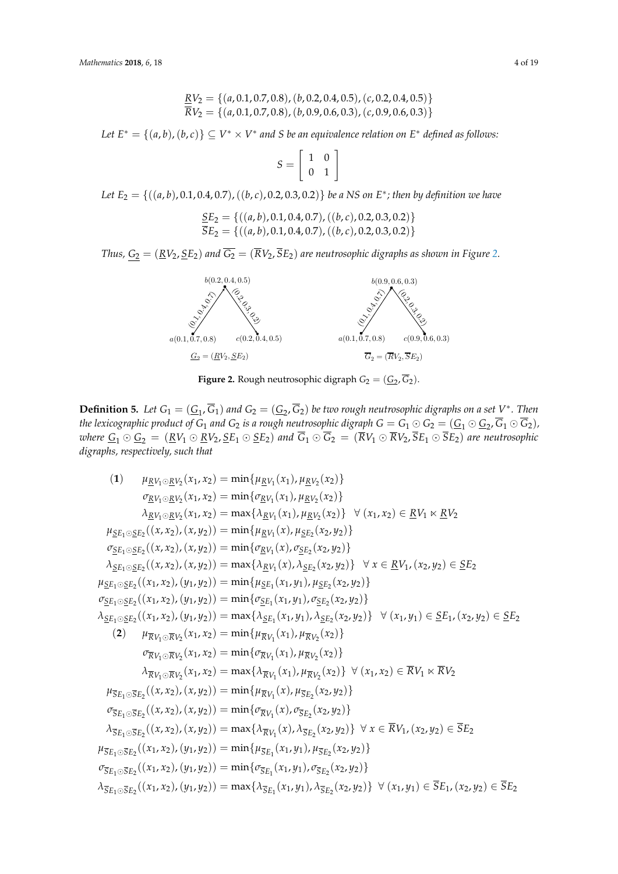$$
\frac{RV_2}{RV_2} = \{(a, 0.1, 0.7, 0.8), (b, 0.2, 0.4, 0.5), (c, 0.2, 0.4, 0.5)\}\
$$

$$
\overline{RV}_2 = \{(a, 0.1, 0.7, 0.8), (b, 0.9, 0.6, 0.3), (c, 0.9, 0.6, 0.3)\}
$$

Let  $E^* = \{(a,b),(b,c)\} \subseteq V^* \times V^*$  and S be an equivalence relation on  $E^*$  defined as follows:

$$
S = \left[ \begin{array}{cc} 1 & 0 \\ 0 & 1 \end{array} \right]
$$

*Let E*<sup>2</sup> = {((*a*, *b*), 0.1, 0.4, 0.7),((*b*, *c*), 0.2, 0.3, 0.2)} *be a NS on E*<sup>∗</sup> *; then by definition we have* Let  $E_2 = \{$ 

$$
\frac{SE_2}{SE_2} = \{ ((a, b), 0.1, 0.4, 0.7), ((b, c), 0.2, 0.3, 0.2) \}
$$
  

$$
\overline{SE}_2 = \{ ((a, b), 0.1, 0.4, 0.7), ((b, c), 0.2, 0.3, 0.2) \}
$$

<span id="page-3-0"></span>Thus,  $G_2=(\underline{R}V_2, \underline{S}E_2)$  and  $\overline{G_2}=(\overline{R}V_2, \overline{S}E_2)$  are neutrosophic digraphs as shown in Figure 2.



**Figure 2.** Rough neutrosophic digraph  $G_2 = (\underline{G}_2, G_2)$ .

**Definition 5.** Let  $G_1 = (G_1, G_1)$  and  $G_2 = (G_2, G_2)$  be two rough neutrosophic digraphs on a set  $V^*$ . Then the lexicographic product of  $G_1$  and  $G_2$  is a rough neutrosophic digraph  $G=G_1\odot G_2=(\underline{G}_1\odot \underline{G}_2, G_1\odot G_2)$ ,  $\omega$ here  $\underline{G}_1 \odot \underline{G}_2 = (\underline{R}V_1 \odot \underline{R}V_2, \underline{S}E_1 \odot \underline{S}E_2)$  and  $G_1 \odot G_2 = (RV_1 \odot RV_2, SE_1 \odot SE_2)$  are neutrosophic *digraphs, respectively, such that*

(1) 
$$
\mu_{KV_1 \odot KV_2}(x_1, x_2) = \min{\{\mu_{KV_1}(x_1), \mu_{KV_2}(x_2)\}}
$$
  
\n $\sigma_{KV_1 \odot KV_2}(x_1, x_2) = \min{\{\sigma_{KV_1}(x_1), \mu_{KV_2}(x_2)\}}$   
\n $\lambda_{KV_1 \odot KV_2}(x_1, x_2) = \max{\{\lambda_{KV_1}(x_1), \mu_{KV_2}(x_2)\}} \forall (x_1, x_2) \in \underline{RV}_1 \times \underline{RV}_2$   
\n $\mu_{SE_1 \odot SE_2}((x, x_2), (x, y_2)) = \min{\{\mu_{KV_1}(x), \mu_{SE_2}(x_2, y_2)\}}$   
\n $\sigma_{SE_1 \odot SE_2}((x, x_2), (x, y_2)) = \min{\{\sigma_{KV_1}(x), \sigma_{SE_2}(x_2, y_2)\}}$   
\n $\lambda_{SE_1 \odot SE_2}((x, x_2), (y_1, y_2)) = \max{\{\lambda_{KV_1}(x), \lambda_{SE_2}(x_2, y_2)\}}$   
\n $\mu_{SE_1 \odot SE_2}((x_1, x_2), (y_1, y_2)) = \min{\{\mu_{SE_1}(x_1, y_1), \mu_{SE_2}(x_2, y_2)\}}$   
\n $\sigma_{SE_1 \odot SE_2}((x_1, x_2), (y_1, y_2)) = \min{\{\sigma_{SE_1}(x_1, y_1), \sigma_{SE_2}(x_2, y_2)\}}$   
\n $\lambda_{SE_1 \odot SE_2}((x_1, x_2), (y_1, y_2)) = \max{\{\lambda_{EV_1}(x_1), \mu_{KV_2}(x_2)\}}$   
\n $\lambda_{SE_1 \odot SE_2}((x_1, x_2), (y_1, y_2)) = \max{\{\lambda_{EV_1}(x_1), \mu_{KV_2}(x_2)\}}$   
\n $\lambda_{\overline{RV_1} \odot \overline{RV_2}(x_1, x_2)} = \min{\{\sigma_{\overline{RV_1}(x_1), \mu_{\overline{RV_2}(x_2)\}}$   
\n $\lambda_{\overline{RV_$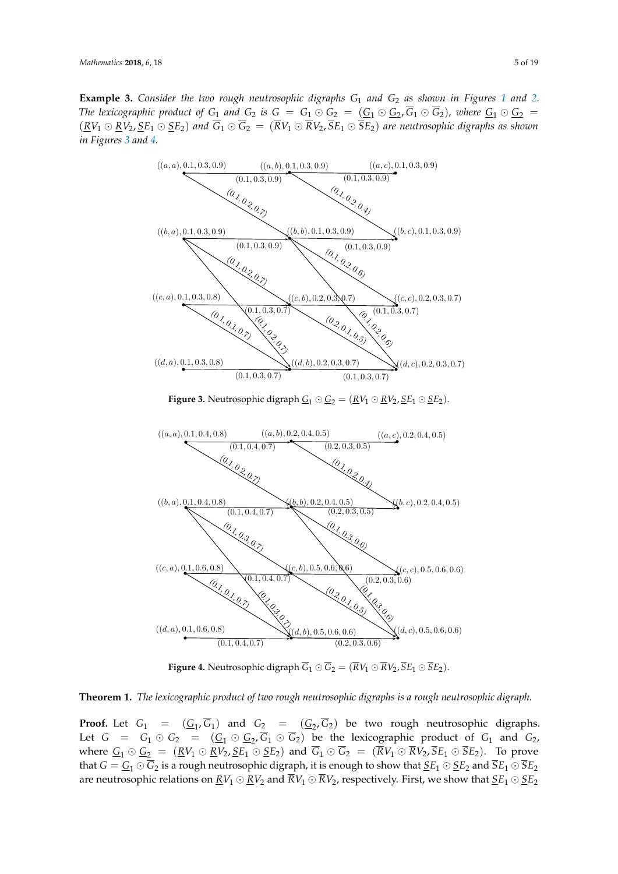**Example 3.** *Consider the two rough neutrosophic digraphs G*<sup>1</sup> *and G*<sup>2</sup> *as shown in Figures [1](#page-2-0) and [2.](#page-3-0) The lexicographic product of*  $G_1$  *and*  $G_2$  *is*  $G = G_1 \odot G_2 = (G_1 \odot G_2, G_1 \odot G_2)$ *, where*  $G_1 \odot G_2 =$  $(RV_1 \odot RV_2, \underline{S}E_1 \odot \underline{S}E_2)$  and  $\overline{G}_1 \odot \overline{G}_2 = (\overline{R}V_1 \odot \overline{R}V_2, \overline{S}E_1 \odot \overline{S}E_2)$  are neutrosophic digraphs as shown *in Figures [3](#page-4-0) and [4.](#page-4-1)*

<span id="page-4-0"></span>

**Figure 4.** Neutrosophic digraph  $\overline{G}_1 \odot \overline{G}_2 = (\overline{R}V_1 \odot \overline{R}V_2, \overline{S}E_1 \odot \overline{S}E_2)$ .

<span id="page-4-1"></span> $\mathord{\text{--}}$ 

**Theorem 1.** The lexicographic product of two rough neutrosophic digraphs is a rough neutrosophic digraph.<br>

**Proof.** Let  $G_1 = (\underline{G}_1, \overline{G}_1)$  and  $G_2 = (\underline{G}_2, \overline{G}_2)$  be two rough neutrosophic digraphs. Let  $G = G_1 \odot G_2 = (\underline{G_1} \odot \underline{G_2}, \overline{G_1} \odot \overline{G_2})$  be the lexicographic product of  $G_1$  and  $G_2$ , where  $\underline{G}_1 \odot \underline{G}_2 = (\underline{R}V_1 \odot \underline{R}V_2, \underline{S}E_1 \odot \underline{S}E_2)$  and  $\overline{G}_1 \odot \overline{G}_2 = (\overline{R}V_1 \odot \overline{R}V_2, \overline{S}E_1 \odot \overline{S}E_2)$ . To prove<br>that  $C = C_1 \odot \overline{C}_2$  is a rough pour positional distant it is enough to sh that  $G = G_1 \odot G_2$  is a rough neutrosophic digraph, it is enough to show that  $\underline{SE}_1 \odot \underline{SE}_2$  and  $SE_1 \odot SE_2$ are neutrosophic relations on  $\underline{RV}_1 \odot \underline{RV}_2$  and  $\overline{RV}_1 \odot \overline{RV}_2$ , respectively. First, we show that  $\underline{SE}_1 \odot \underline{SE}_2$ <br>are neutrosophic relations on  $\underline{RV}_1 \odot \underline{RV}_2$  and  $\overline{RV}_1 \odot \overline{RV}_2$ , respectively. First, λSE1⊙SE<sup>2</sup>  $(2, 2)$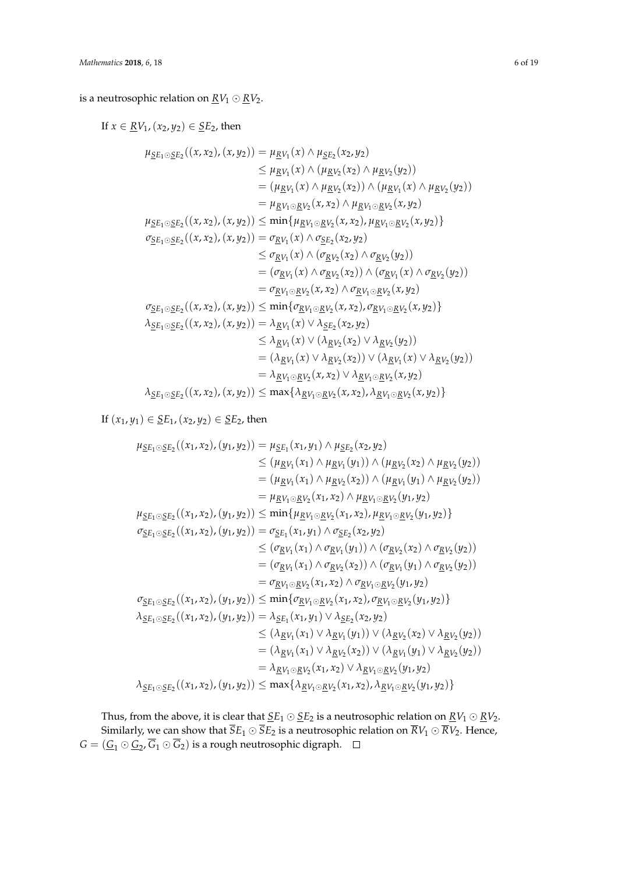is a neutrosophic relation on  $\underline{RV}_1 \odot \underline{RV}_2$ .

If *x* ∈ <u>*R*V<sub>1</sub>, (*x*<sub>2</sub>, *y*<sub>2</sub>) ∈ <u>S</u>E<sub>2</sub>, then</u>  $\mu_{\underline{SE}_1 \odot \underline{SE}_2}((x, x_2), (x, y_2)) = \mu_{\underline{RV}_1}(x) \wedge \mu_{\underline{SE}_2}(x_2, y_2)$  $≤ μ<sub>RV<sub>1</sub></sub>(x) ∧ (μ<sub>RV<sub>2</sub></sub>(x<sub>2</sub>) ∧ μ<sub>RV<sub>2</sub></sub>(y<sub>2</sub>))$  $= (\mu_{\underline{R}V_1}(x) \wedge \mu_{\underline{R}V_2}(x_2)) \wedge (\mu_{\underline{R}V_1}(x) \wedge \mu_{\underline{R}V_2}(y_2))$  $= \mu_{\underline{R}V_1 \odot \underline{R}V_2}(x, x_2) \wedge \mu_{\underline{R}V_1 \odot \underline{R}V_2}(x, y_2)$  $\mu_{\underline{SE}_1 \odot \underline{SE}_2}((x, x_2), (x, y_2)) \le \min\{\mu_{\underline{RV}_1 \odot \underline{RV}_2}(x, x_2), \mu_{\underline{RV}_1 \odot \underline{RV}_2}(x, y_2)\}$  $\sigma_{\underline{S}E_1 \odot \underline{S}E_2}((x, x_2), (x, y_2)) = \sigma_{\underline{R}V_1}(x) \wedge \sigma_{\underline{S}E_2}(x_2, y_2)$  $\leq$  *σ*<sub>*RV*1</sub></sub>(*x*) ∧ (*σ*<sub>*RV*2</sub>(*x*<sub>2</sub>) ∧ *σ*<sub>*RV*2</sub>(*y*<sub>2</sub>))  $= (\sigma_{\underline{R}V_1}(x) \wedge \sigma_{\underline{R}V_2}(x_2)) \wedge (\sigma_{\underline{R}V_1}(x) \wedge \sigma_{\underline{R}V_2}(y_2))$  $= \sigma_{\underline{R}V_1 \odot \underline{R}V_2}(x, x_2) \wedge \sigma_{\underline{R}V_1 \odot \underline{R}V_2}(x, y_2)$  $\sigma_{\underline{S}E_1 \odot \underline{S}E_2}((x, x_2), (x, y_2)) \le \min\{\sigma_{\underline{R}V_1 \odot \underline{R}V_2}(x, x_2), \sigma_{\underline{R}V_1 \odot \underline{R}V_2}(x, y_2)\}$  $\lambda_{\underline{S}E_1 \odot \underline{S}E_2}((x, x_2), (x, y_2)) = \lambda_{\underline{R}V_1}(x) \vee \lambda_{\underline{S}E_2}(x_2, y_2)$  $\leq \lambda_{\underline{R}V_1}(x) \vee (\lambda_{\underline{R}V_2}(x_2) \vee \lambda_{\underline{R}V_2}(y_2))$  $= (\lambda_{\underline{R}V_1}(x) \vee \lambda_{\underline{R}V_2}(x_2)) \vee (\lambda_{\underline{R}V_1}(x) \vee \lambda_{\underline{R}V_2}(y_2))$  $= \lambda_{\underline{R}V_1 \odot \underline{R}V_2}(x, x_2) \vee \lambda_{\underline{R}V_1 \odot \underline{R}V_2}(x, y_2)$  $\lambda_{\underline{S}E_1 \odot \underline{S}E_2}((x, x_2), (x, y_2)) \le \max\{\lambda_{\underline{R}V_1 \odot \underline{R}V_2}(x, x_2), \lambda_{\underline{R}V_1 \odot \underline{R}V_2}(x, y_2)\}$ 

If  $(x_1, y_1)$  ∈  $SE<sub>1</sub>, (x_2, y_2)$  ∈  $SE<sub>2</sub>$ , then</u></u>

$$
\mu_{\text{SE}_1 \odot \text{SE}_2}((x_1, x_2), (y_1, y_2)) = \mu_{\text{SE}_1}(x_1, y_1) \wedge \mu_{\text{SE}_2}(x_2, y_2)
$$
\n
$$
\leq (\mu_{\text{RV}_1}(x_1) \wedge \mu_{\text{RV}_1}(y_1)) \wedge (\mu_{\text{RV}_2}(x_2) \wedge \mu_{\text{RV}_2}(y_2))
$$
\n
$$
= (\mu_{\text{RV}_1}(x_1) \wedge \mu_{\text{RV}_1}(y_1)) \wedge (\mu_{\text{RV}_1}(y_1) \wedge \mu_{\text{RV}_2}(y_2))
$$
\n
$$
= \mu_{\text{RV}_1 \odot \text{RV}_2}(x_1, x_2) \wedge \mu_{\text{RV}_1 \odot \text{RV}_2}(y_1, y_2)
$$
\n
$$
\mu_{\text{SE}_1 \odot \text{SE}_2}((x_1, x_2), (y_1, y_2)) \leq \min{\{\mu_{\text{RV}_1 \odot \text{RV}_2}(x_1, x_2), \mu_{\text{RV}_1 \odot \text{RV}_2}(y_1, y_2)\}}
$$
\n
$$
\sigma_{\text{SE}_1 \odot \text{SE}_2}((x_1, x_2), (y_1, y_2)) = \sigma_{\text{SE}_1}(x_1, y_1) \wedge \sigma_{\text{SE}_2}(x_2, y_2)
$$
\n
$$
\leq (\sigma_{\text{RV}_1}(x_1) \wedge \sigma_{\text{RV}_1}(y_1)) \wedge (\sigma_{\text{RV}_2}(x_2) \wedge \sigma_{\text{RV}_2}(y_2))
$$
\n
$$
= (\sigma_{\text{RV}_1}(x_1) \wedge \sigma_{\text{RV}_2}(x_2)) \wedge (\sigma_{\text{RV}_1}(y_1) \wedge \sigma_{\text{RV}_2}(y_2))
$$
\n
$$
= \sigma_{\text{RV}_1 \odot \text{RV}_2}(x_1, x_2) \wedge \sigma_{\text{RV}_1 \odot \text{RV}_2}(y_1, y_2)
$$
\n
$$
\sigma_{\text{SE}_1 \odot \text{SE}_2}((x_1, x_2), (y_1, y_2)) \leq \min{\{\
$$

Thus, from the above, it is clear that  $\underline{SE}_1 \odot \underline{SE}_2$  is a neutrosophic relation on  $\underline{RV}_1 \odot \underline{RV}_2$ . Similarly, we can show that  $\overline{S}E_1 \odot \overline{S}E_2$  is a neutrosophic relation on  $\overline{R}V_1 \odot \overline{R}V_2$ . Hence,  $G = (\underline{G}_1 \odot \underline{G}_2, G_1 \odot G_2)$  is a rough neutrosophic digraph.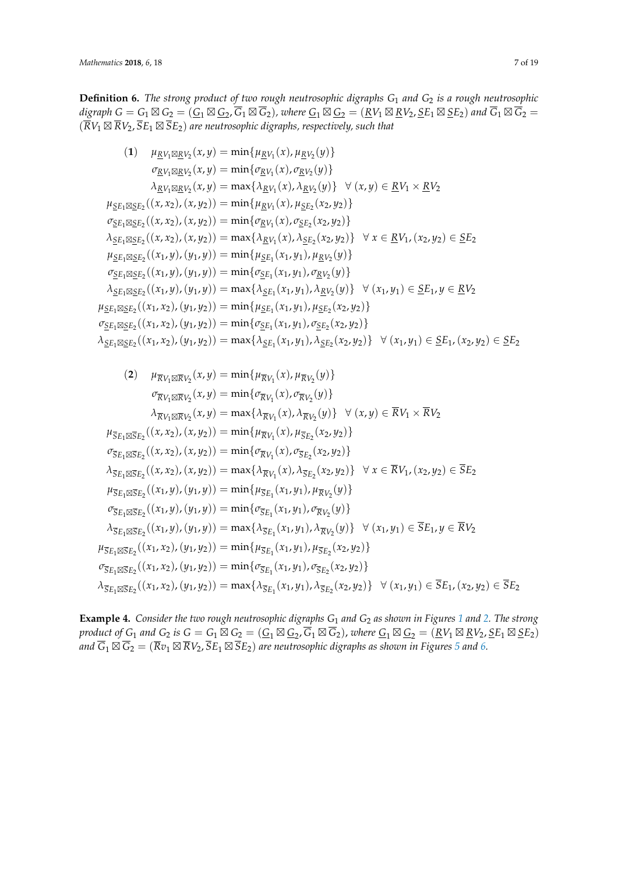**Definition 6.** *The strong product of two rough neutrosophic digraphs G*<sup>1</sup> *and G*<sup>2</sup> *is a rough neutrosophic* digraph  $G = G_1 \boxtimes G_2 = (\underline{G}_1 \boxtimes \underline{G}_2, G_1 \boxtimes G_2)$ , where  $\underline{G}_1 \boxtimes \underline{G}_2 = (\underline{R}V_1 \boxtimes \underline{R}V_2, \underline{S}E_1 \boxtimes \underline{S}E_2)$  and  $G_1 \boxtimes G_2 =$  $(RV_1 \boxtimes RV_2, SE_1 \boxtimes SE_2)$  are neutrosophic digraphs, respectively, such that

(1) 
$$
\mu_{EV_1 \boxtimes RV_2}(x, y) = \min{\mu_{EV_1}(x), \mu_{EV_2}(y)}
$$
  
\n $\sigma_{RV_1 \boxtimes RV_2}(x, y) = \min{\sigma_{EV_1}(x), \sigma_{EV_2}(y)}$   
\n $\lambda_{RV_1 \boxtimes RV_2}(x, y) = \max{\lambda_{RV_1}(x), \lambda_{RV_2}(y)} \quad \forall (x, y) \in RV_1 \times RV_2$   
\n $\mu_{SE_1 \boxtimes SE_2}((x, x_2), (x, y_2)) = \min{\mu_{EV_1}(x), \mu_{SE_2}(x_2, y_2)}$   
\n $\sigma_{SE_1 \boxtimes SE_2}((x, x_2), (x, y_2)) = \min{\sigma_{EV_1}(x), \sigma_{SE_2}(x_2, y_2)}$   
\n $\lambda_{SE_1 \boxtimes SE_2}((x, x_2), (x, y_2)) = \max{\lambda_{EV_1}(x), \lambda_{SE_2}(x_2, y_2)} \quad \forall x \in RV_1, (x_2, y_2) \in SE_2$   
\n $\mu_{SE_1 \boxtimes SE_2}((x_1, y), (y_1, y)) = \min{\mu_{SE_1}(x_1, y_1), \mu_{EV_2}(y)}$   
\n $\sigma_{SE_1 \boxtimes SE_2}((x_1, y), (y_1, y)) = \min{\sigma_{SE_1}(x_1, y_1), \sigma_{EV_2}(y)}$   
\n $\lambda_{SE_1 \boxtimes SE_2}((x_1, y), (y_1, y)) = \max{\lambda_{SE_1}(x_1, y_1), \sigma_{EV_2}(y)}$   
\n $\mu_{SE_1 \boxtimes SE_2}((x_1, x_2), (y_1, y_2)) = \min{\mu_{SE_1}(x_1, y_1), \mu_{SE_2}(x_2, y_2)}$   
\n $\sigma_{SE_1 \boxtimes SE_2}((x_1, x_2), (y_1, y_2)) = \min{\sigma_{SE_1}(x_1, y_1), \sigma_{SE_2}(x_2, y_2)}$   
\n $\sigma_{SE_1 \boxtimes SE_2}((x_1, x_2), (y_1, y_2)) = \max{\lambda_{SE_1}(x_1, y_1), \sigma_{SE_2}(x_2, y_2)}$   
\n

(2) 
$$
\mu_{\overline{R}V_1 \boxtimes \overline{R}V_2}(x,y) = \min\{\mu_{\overline{R}V_1}(x), \mu_{\overline{R}V_2}(y)\}
$$
\n
$$
\sigma_{\overline{R}V_1 \boxtimes \overline{R}V_2}(x,y) = \min\{\sigma_{\overline{R}V_1}(x), \sigma_{\overline{R}V_2}(y)\}
$$
\n
$$
\lambda_{\overline{R}V_1 \boxtimes \overline{R}V_2}(x,y) = \max\{\lambda_{\overline{R}V_1}(x), \lambda_{\overline{R}V_2}(y)\} \quad \forall (x,y) \in \overline{R}V_1 \times \overline{R}V_2
$$
\n
$$
\mu_{\overline{S}E_1 \boxtimes \overline{S}E_2}((x,x_2),(x,y_2)) = \min\{\mu_{\overline{R}V_1}(x), \mu_{\overline{S}E_2}(x_2,y_2)\}
$$
\n
$$
\sigma_{\overline{S}E_1 \boxtimes \overline{S}E_2}((x,x_2),(x,y_2)) = \max\{\lambda_{\overline{R}V_1}(x), \sigma_{\overline{S}E_2}(x_2,y_2)\} \quad \forall x \in \overline{R}V_1, (x_2,y_2) \in \overline{S}E_2
$$
\n
$$
\mu_{\overline{S}E_1 \boxtimes \overline{S}E_2}((x_1,y),(y_1,y)) = \min\{\mu_{\overline{S}E_1}(x_1,y_1), \mu_{\overline{R}V_2}(y)\}
$$
\n
$$
\sigma_{\overline{S}E_1 \boxtimes \overline{S}E_2}((x_1,y),(y_1,y)) = \min\{\sigma_{\overline{S}E_1}(x_1,y_1), \sigma_{\overline{R}V_2}(y)\}
$$
\n
$$
\lambda_{\overline{S}E_1 \boxtimes \overline{S}E_2}((x_1,y),(y_1,y)) = \max\{\lambda_{\overline{S}E_1}(x_1,y_1), \lambda_{\overline{R}V_2}(y)\}
$$
\n
$$
\lambda_{\overline{S}E_1 \boxtimes \overline{S}E_2}((x_1,y),(y_1,y)) = \max\{\lambda_{\overline{S}E_1}(x_1
$$

**Example 4.** *Consider the two rough neutrosophic digraphs G*<sup>1</sup> *and G*<sup>2</sup> *as shown in Figures [1](#page-2-0) and [2.](#page-3-0) The strong* product of  $G_1$  and  $G_2$  is  $G=G_1\boxtimes G_2=(\underline{G}_1\boxtimes \underline{G}_2, G_1\boxtimes G_2)$ , where  $\underline{G}_1\boxtimes \underline{G}_2=(\underline{R}V_1\boxtimes \underline{R}V_2, \underline{S}E_1\boxtimes \underline{S}E_2)$ and  $G_1 \boxtimes G_2 = (Rv_1 \boxtimes RV_2, SE_1 \boxtimes SE_2)$  are neutrosophic digraphs as shown in Figures [5](#page-7-0) and [6.](#page-7-1)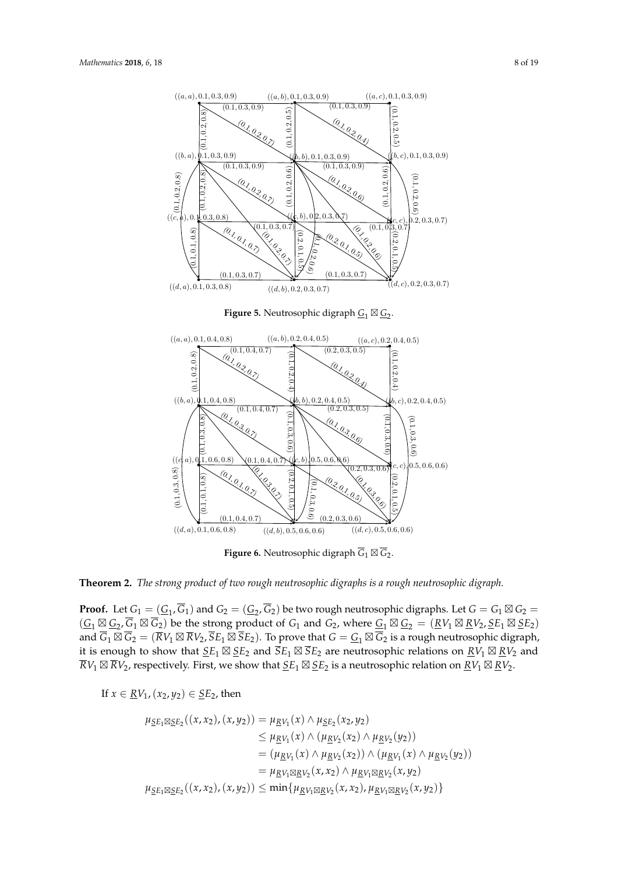<span id="page-7-0"></span>

**Figure 5.** Neutrosophic digraph  $G_1 \boxtimes G_2$ .

<span id="page-7-1"></span>

**Figure 6.** Neutrosophic digraph  $G_1 \boxtimes G_2$ .

**Theorem 2.** *The strong product of two rough neutrosophic digraphs is a rough neutrosophic digraph.* 

relations on RV<sup>1</sup> ⊠ RV<sup>2</sup> and RV<sup>1</sup> ⊠ RV2, respectively. First, we show that SE<sup>1</sup> ⊠ SE<sup>2</sup> is a **Proof.** Let  $G_1 = (G_1, G_1)$  and  $G_2 = (G_2, G_2)$  be two rough neutrosophic digraphs. Let  $G = G_1 \boxtimes G_2 =$  $(G_1 \boxtimes G_2, G_1 \boxtimes G_2)$  be the strong product of  $G_1$  and  $G_2$ , where  $G_1 \boxtimes G_2 = (RV_1 \boxtimes RV_2, \underline{SE}_1 \boxtimes \underline{SE}_2)$ it is enough to show that  $\underline{SE}_1 \boxtimes \underline{SE}_2$  and  $\overline{SE}_1 \boxtimes \overline{SE}_2$  are neutrosophic relations on  $\underline{RV}_1 \boxtimes \underline{RV}_2$  and  $\overline{R}V_1 \boxtimes \overline{R}V_2$ , respectively. First, we show that  $\underline{SE}_1 \boxtimes \underline{SE}_2$  is a neutrosophic relation on  $\underline{RV}_1 \boxtimes \underline{RV}_2$ . and  $G_1 \boxtimes G_2 = (RV_1 \boxtimes RV_2, SE_1 \boxtimes SE_2)$ . To prove that  $G = \underline{G}_1 \boxtimes G_2$  is a rough neutrosophic digraph,

If *x* ∈ *RV*<sub>1</sub>, (*x*<sub>2</sub>, *y*<sub>2</sub>) ∈ *SE*<sub>2</sub>, then

$$
\mu_{\underline{SE}_1 \boxtimes \underline{SE}_2}((x, x_2), (x, y_2)) = \mu_{\underline{RV}_1}(x) \land \mu_{\underline{SE}_2}(x_2, y_2)
$$
\n
$$
\leq \mu_{\underline{RV}_1}(x) \land (\mu_{\underline{RV}_2}(x_2) \land \mu_{\underline{RV}_2}(y_2))
$$
\n
$$
= (\mu_{\underline{RV}_1}(x) \land \mu_{\underline{RV}_2}(x_2)) \land (\mu_{\underline{RV}_1}(x) \land \mu_{\underline{RV}_2}(y_2))
$$
\n
$$
= \mu_{\underline{RV}_1 \boxtimes \underline{RV}_2}(x, x_2) \land \mu_{\underline{RV}_1 \boxtimes \underline{RV}_2}(x, y_2)
$$
\n
$$
\mu_{\underline{SE}_1 \boxtimes \underline{SE}_2}((x, x_2), (x, y_2)) \leq \min\{\mu_{\underline{RV}_1 \boxtimes \underline{RV}_2}(x, x_2), \mu_{\underline{RV}_1 \boxtimes \underline{RV}_2}(x, y_2)\}
$$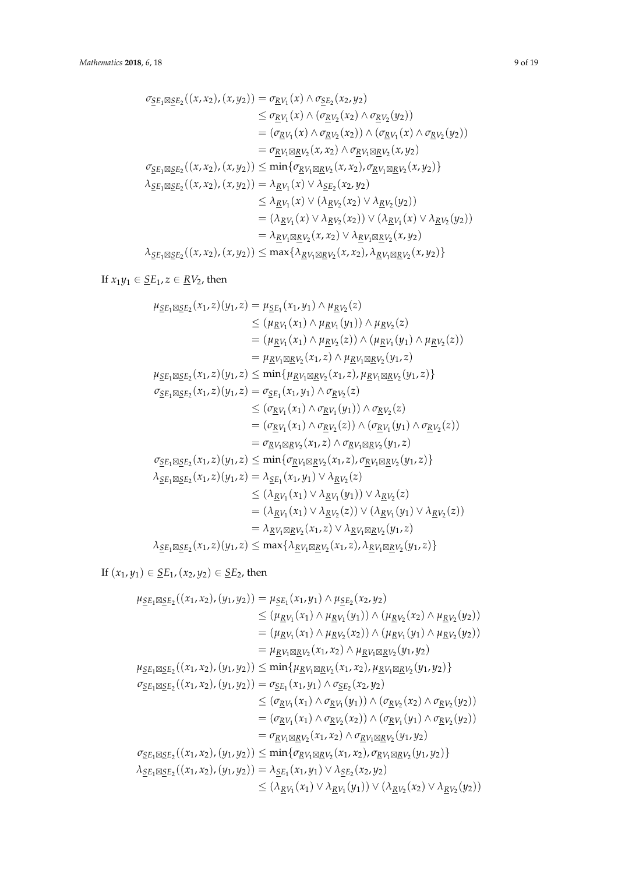$$
\sigma_{\underline{SE}_1 \boxtimes \underline{SE}_2}((x, x_2), (x, y_2)) = \sigma_{\underline{RV}_1}(x) \land \sigma_{\underline{SE}_2}(x_2, y_2)
$$
\n
$$
\leq \sigma_{\underline{RV}_1}(x) \land (\sigma_{\underline{RV}_2}(x_2) \land \sigma_{\underline{RV}_2}(y_2))
$$
\n
$$
= (\sigma_{\underline{RV}_1}(x) \land \sigma_{\underline{RV}_2}(x_2)) \land (\sigma_{\underline{RV}_1}(x) \land \sigma_{\underline{RV}_2}(y_2))
$$
\n
$$
= \sigma_{\underline{RV}_1 \boxtimes \underline{RV}_2}(x, x_2) \land \sigma_{\underline{RV}_1 \boxtimes \underline{RV}_2}(x, y_2)
$$
\n
$$
\sigma_{\underline{SE}_1 \boxtimes \underline{SE}_2}((x, x_2), (x, y_2)) \leq \min\{\sigma_{\underline{RV}_1 \boxtimes \underline{RV}_2}(x, x_2), \sigma_{\underline{RV}_1 \boxtimes \underline{RV}_2}(x, y_2)\}
$$
\n
$$
\lambda_{\underline{SE}_1 \boxtimes \underline{SE}_2}((x, x_2), (x, y_2)) = \lambda_{\underline{RV}_1}(x) \lor \lambda_{\underline{SE}_2}(x_2, y_2)
$$
\n
$$
\leq \lambda_{\underline{RV}_1}(x) \lor (\lambda_{\underline{RV}_2}(x_2) \lor \lambda_{\underline{RV}_2}(y_2))
$$
\n
$$
= (\lambda_{\underline{RV}_1}(x) \lor \lambda_{\underline{RV}_2}(x_2)) \lor (\lambda_{\underline{RV}_1}(x) \lor \lambda_{\underline{RV}_2}(y_2))
$$
\n
$$
= \lambda_{\underline{RV}_1 \boxtimes \underline{RV}_2}(x, x_2) \lor \lambda_{\underline{RV}_1 \boxtimes \underline{RV}_2}(x, y_2)
$$
\n
$$
\lambda_{\underline{SE}_1 \boxtimes \underline{SE}_2}((x, x_2), (x, y_2)) \leq \max\{\lambda_{\underline{RV}_1 \boxtimes \underline{RV}_2}(x, x_2), \lambda_{\underline{RV}_1 \boxtimes \underline{RV}_2}(x, y_2)\}
$$

If  $x_1y_1 \in \underline{SE}_1$ ,  $z \in \underline{RV}_2$ , then

$$
\mu_{\text{SE}_1 \boxtimes \text{SE}_2}(x_1, z)(y_1, z) = \mu_{\text{SE}_1}(x_1, y_1) \wedge \mu_{\text{RV}_2}(z) \n&\leq (\mu_{\text{RV}_1}(x_1) \wedge \mu_{\text{RV}_1}(y_1)) \wedge \mu_{\text{RV}_2}(z) \n&= (\mu_{\text{RV}_1}(x_1) \wedge \mu_{\text{RV}_2}(z)) \wedge (\mu_{\text{RV}_1}(y_1) \wedge \mu_{\text{RV}_2}(z)) \n= \mu_{\text{RV}_1 \boxtimes \text{RV}_2}(x_1, z) \wedge \mu_{\text{RV}_1 \boxtimes \text{RV}_2}(y_1, z) \n\mu_{\text{SE}_1 \boxtimes \text{SE}_2}(x_1, z)(y_1, z) \leq \min{\{\mu_{\text{RV}_1 \boxtimes \text{RV}_2}(x_1, z), \mu_{\text{RV}_1 \boxtimes \text{RV}_2}(y_1, z)\}} \n\sigma_{\text{SE}_1 \boxtimes \text{SE}_2}(x_1, z)(y_1, z) = \sigma_{\text{SE}_1}(x_1, y_1) \wedge \sigma_{\text{RV}_2}(z) \n&\leq (\sigma_{\text{RV}_1}(x_1) \wedge \sigma_{\text{RV}_1}(y_1)) \wedge \sigma_{\text{RV}_2}(z) \n&= (\sigma_{\text{RV}_1}(x_1) \wedge \sigma_{\text{RV}_2}(z)) \wedge (\sigma_{\text{RV}_1}(y_1) \wedge \sigma_{\text{RV}_2}(z)) \n= \sigma_{\text{RV}_1 \boxtimes \text{RV}_2}(x_1, z) \wedge \sigma_{\text{RV}_1 \boxtimes \text{RV}_2}(y_1, z) \n\sigma_{\text{SE}_1 \boxtimes \text{SE}_2}(x_1, z)(y_1, z) \leq \min{\{\sigma_{\text{RV}_1 \boxtimes \text{RV}_2}(x_1, z), \sigma_{\text{RV}_1 \boxtimes \text{RV}_2}(y_1, z)\}} \n\lambda_{\text{SE}_1 \boxtimes \text{SE}_2}(x_1, z)(y_1, z) = \lambda_{\text{SE}_1}(x_1, y_1) \vee \lambda_{\text{RV}_2}(z) \n&\leq (\lambda_{\text{RV
$$

If  $(x_1, y_1)$  ∈  $SE<sub>1</sub>, (x_2, y_2)$  ∈  $SE<sub>2</sub>$ , then</u></u>

$$
\mu_{\underline{SE}_{1} \boxtimes \underline{E}_{2}}((x_{1}, x_{2}), (y_{1}, y_{2})) = \mu_{\underline{SE}_{1}}(x_{1}, y_{1}) \wedge \mu_{\underline{SE}_{2}}(x_{2}, y_{2})
$$
\n
$$
\leq (\mu_{\underline{RV}_{1}}(x_{1}) \wedge \mu_{\underline{RV}_{1}}(y_{1})) \wedge (\mu_{\underline{RV}_{2}}(x_{2}) \wedge \mu_{\underline{RV}_{2}}(y_{2}))
$$
\n
$$
= (\mu_{\underline{RV}_{1}}(x_{1}) \wedge \mu_{\underline{RV}_{2}}(x_{2})) \wedge (\mu_{\underline{RV}_{1}}(y_{1}) \wedge \mu_{\underline{RV}_{2}}(y_{2}))
$$
\n
$$
= \mu_{\underline{RV}_{1} \boxtimes \underline{RV}_{2}}(x_{1}, x_{2}) \wedge \mu_{\underline{RV}_{1} \boxtimes \underline{RV}_{2}}(y_{1}, y_{2})
$$
\n
$$
\mu_{\underline{SE}_{1} \boxtimes \underline{SE}_{2}}((x_{1}, x_{2}), (y_{1}, y_{2})) \leq \min \{\mu_{\underline{RV}_{1} \boxtimes \underline{RV}_{2}}(x_{1}, x_{2}), \mu_{\underline{RV}_{1} \boxtimes \underline{RV}_{2}}(y_{1}, y_{2})\}
$$
\n
$$
\sigma_{\underline{SE}_{1} \boxtimes \underline{SE}_{2}}((x_{1}, x_{2}), (y_{1}, y_{2})) = \sigma_{\underline{SE}_{1}}(x_{1}, y_{1}) \wedge \sigma_{\underline{SE}_{2}}(x_{2}, y_{2})
$$
\n
$$
\leq (\sigma_{\underline{RV}_{1}}(x_{1}) \wedge \sigma_{\underline{RV}_{1}}(y_{1})) \wedge (\sigma_{\underline{RV}_{2}}(x_{2}) \wedge \sigma_{\underline{RV}_{2}}(y_{2}))
$$
\n
$$
= (\sigma_{\underline{RV}_{1}}(x_{1}) \wedge \sigma_{\underline{RV}_{2}}(x_{2})) \wedge (\sigma_{\underline{RV}_{1}}(y_{1}) \wedge \sigma_{\underline{RV}_{2}}(y_{2}))
$$
\n
$$
= \sigma_{\underline{RV}_{1} \boxtimes \underline{RV}_{2}}(x_{1}, x_{2}) \wedge \sigma_{\underline{RV}_{1} \boxtimes \underline{RV}_{2}}(y_{1}, y_{2})
$$
\n
$$
\sigma_{\
$$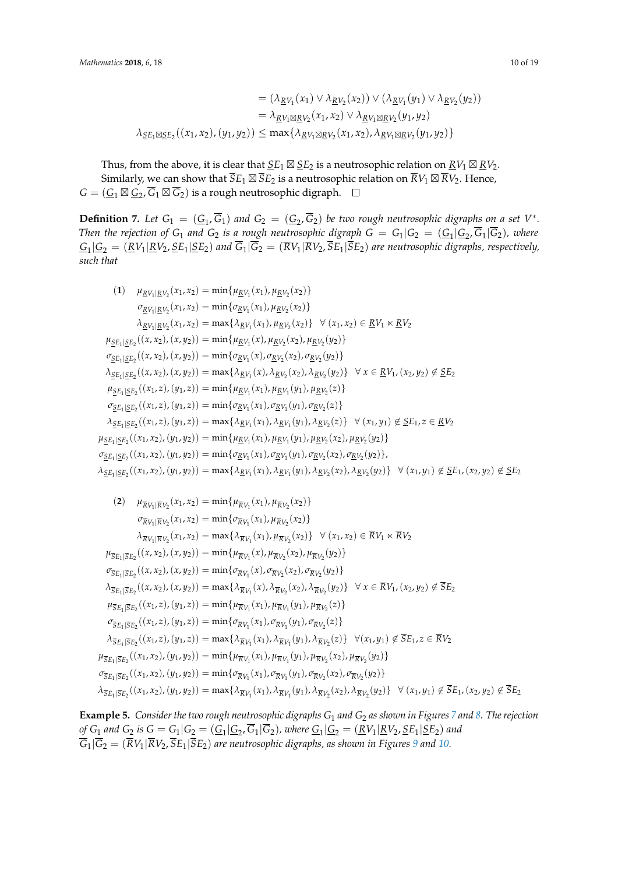$$
= (\lambda_{\underline{R}V_1}(x_1) \vee \lambda_{\underline{R}V_2}(x_2)) \vee (\lambda_{\underline{R}V_1}(y_1) \vee \lambda_{\underline{R}V_2}(y_2))
$$
  

$$
= \lambda_{\underline{R}V_1 \boxtimes \underline{R}V_2}(x_1, x_2) \vee \lambda_{\underline{R}V_1 \boxtimes \underline{R}V_2}(y_1, y_2)
$$
  

$$
\lambda_{\underline{S}E_1 \boxtimes \underline{S}E_2}((x_1, x_2), (y_1, y_2)) \le \max\{\lambda_{\underline{R}V_1 \boxtimes \underline{R}V_2}(x_1, x_2), \lambda_{\underline{R}V_1 \boxtimes \underline{R}V_2}(y_1, y_2)\}
$$

Thus, from the above, it is clear that  $\underline{S}E_1\boxtimes \underline{S}E_2$  is a neutrosophic relation on  $\underline{RV}_1\boxtimes \underline{RV}_2$ . Similarly, we can show that  $SE_1 \boxtimes SE_2$  is a neutrosophic relation on  $RV_1 \boxtimes RV_2$ . Hence,  $G = (\underline{G}_1 \boxtimes \underline{G}_2, G_1 \boxtimes G_2)$  is a rough neutrosophic digraph.

**Definition 7.** Let  $G_1 = (\underline{G}_1, G_1)$  and  $G_2 = (\underline{G}_2, G_2)$  be two rough neutrosophic digraphs on a set  $V^*$ . *Then the rejection of*  $G_1$  *and*  $G_2$  *is a rough neutrosophic digraph*  $G = G_1 | G_2 = (\underline{G_1} | \underline{G_2}, G_1 | G_2)$ *, where*  $G_1|G_2 = (RV_1|RV_2, SE_1|SE_2)$  and  $G_1|G_2 = (RV_1|RV_2, SE_1|SE_2)$  are neutrosophic digraphs, respectively, *such that*

(1) 
$$
\mu_{RV_1|RV_2}(x_1, x_2) = \min{\{\mu_{RV_1}(x_1), \mu_{RV_2}(x_2)\}}
$$
  
\n $\sigma_{RV_1|RV_2}(x_1, x_2) = \min{\{\sigma_{RV_1}(x_1), \mu_{RV_2}(x_2)\}}$   
\n $\lambda_{RV_1|RV_2}(x_1, x_2) = \max{\{\lambda_{RV_1}(x_1), \mu_{RV_2}(x_2)\}} \quad \forall (x_1, x_2) \in RV_1 \times RV_2$   
\n $\mu_{SE_1|SE_2}((x, x_2), (x, y_2)) = \min{\{\mu_{RV_1}(x), \mu_{RV_2}(x_2), \mu_{RV_2}(y_2)\}}$   
\n $\sigma_{SE_1|SE_2}((x, x_2), (x, y_2)) = \min{\{\sigma_{RV_1}(x), \sigma_{RV_2}(x_2), \sigma_{RV_2}(y_2)\}}$   
\n $\lambda_{SE_1|SE_2}((x, x_2), (x, y_2)) = \max{\{\lambda_{RV_1}(x), \lambda_{RV_2}(x_2), \lambda_{RV_2}(y_2)\}} \quad \forall x \in RV_1, (x_2, y_2) \notin SE_2$   
\n $\mu_{SE_1|SE_2}((x_1, z), (y_1, z)) = \min{\{\mu_{RV_1}(x_1), \mu_{RV_1}(y_1), \mu_{RV_2}(z)\}}$   
\n $\sigma_{SE_1|SE_2}((x_1, z), (y_1, z)) = \min{\{\sigma_{RV_1}(x_1), \sigma_{RV_1}(y_1), \sigma_{RV_2}(z)\}}$   
\n $\lambda_{SE_1|SE_2}((x_1, z), (y_1, z)) = \max{\{\lambda_{RV_1}(x_1), \lambda_{RV_1}(y_1), \lambda_{RV_2}(z)\}} \quad \forall (x_1, y_1) \notin SE_1, z \in RV_2$   
\n $\mu_{SE_1|SE_2}((x_1, x_2), (y_1, y_2)) = \min{\{\mu_{RV_1}(x_1), \mu_{RV_1}(y_1), \mu_{RV_2}(x_2), \mu_{RV_2}(y_2)\}}$   
\n $\sigma_{SE_1|SE_2}((x_1, x_2), (y_1, y_2)) = \min$ 

(2) 
$$
\mu_{\overline{R}V_1|\overline{R}V_2}(x_1, x_2) = \min{\{\mu_{\overline{R}V_1}(x_1), \mu_{\overline{R}V_2}(x_2)\}}
$$
  
\n $\sigma_{\overline{R}V_1|\overline{R}V_2}(x_1, x_2) = \min{\{\sigma_{\overline{R}V_1}(x_1), \mu_{\overline{R}V_2}(x_2)\}}$   
\n $\lambda_{\overline{R}V_1|\overline{R}V_2}(x_1, x_2) = \max{\{\lambda_{\overline{R}V_1}(x_1), \mu_{\overline{R}V_2}(x_2)\}} \forall (x_1, x_2) \in \overline{R}V_1 \times \overline{R}V_2$   
\n $\mu_{\overline{S}E_1|\overline{S}E_2}((x, x_2), (x, y_2)) = \min{\{\mu_{\overline{R}V_1}(x), \mu_{\overline{R}V_2}(x_2), \mu_{\overline{R}V_2}(y_2)\}}$   
\n $\sigma_{\overline{S}E_1|\overline{S}E_2}((x, x_2), (x, y_2)) = \min{\{\sigma_{\overline{R}V_1}(x), \sigma_{\overline{R}V_2}(x_2), \sigma_{\overline{R}V_2}(y_2)\}}$   
\n $\lambda_{\overline{S}E_1|\overline{S}E_2}((x, x_2), (x, y_2)) = \max{\{\lambda_{\overline{R}V_1}(x), \lambda_{\overline{R}V_2}(x_2), \lambda_{\overline{R}V_2}(y_2)\}} \forall x \in \overline{R}V_1, (x_2, y_2) \notin \overline{S}E_2$   
\n $\mu_{\overline{S}E_1|\overline{S}E_2}((x_1, z), (y_1, z)) = \min{\{\mu_{\overline{R}V_1}(x_1), \mu_{\overline{R}V_1}(y_1), \mu_{\overline{R}V_2}(z)\}}$   
\n $\sigma_{\overline{S}E_1|\overline{S}E_2}((x_1, z), (y_1, z)) = \max{\{\lambda_{\overline{R}V_1}(x_1), \sigma_{\overline{R}V_1}(y_1),$ 

**Example 5.** *Consider the two rough neutrosophic digraphs G*<sup>1</sup> *and G*<sup>2</sup> *as shown in Figures [7](#page-10-0) and [8.](#page-10-1) The rejection*  $\frac{\partial f}{\partial x}G_1$  *and*  $G_2$  *is*  $G = G_1 | G_2 = (G_1 | G_2, G_1 | G_2)$ *, where*  $G_1 | G_2 = (RV_1 | RV_2, SE_1 | SE_2)$  *and*  $\overline{G}_1|\overline{G}_2 = (\overline{R}V_1|\overline{R}V_2, \overline{S}E_1|\overline{S}E_2)$  are neutrosophic digraphs, as shown in Figures [9](#page-10-2) and [10.](#page-11-0)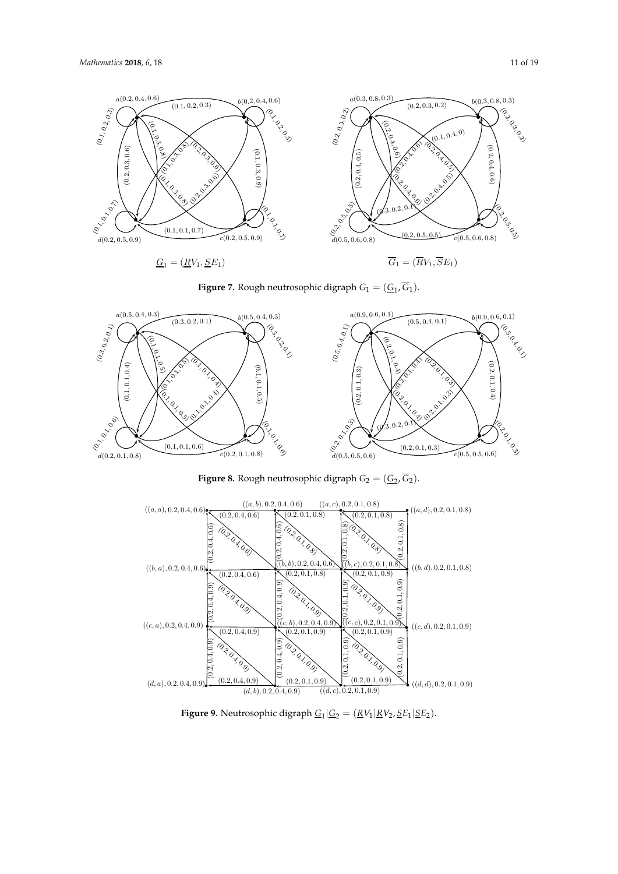<span id="page-10-0"></span>



<span id="page-10-1"></span>

**Figure 8.** Rough neutrosophic digraph  $G_2 = (\underline{G}_2, \overline{G}_2)$ .

<span id="page-10-2"></span>

**Figure 9.** Neutrosophic digraph  $\underline{G}_1 | \underline{G}_2 = (\underline{R}V_1 | \underline{R}V_2, \underline{S}E_1 | \underline{S}E_2)$ .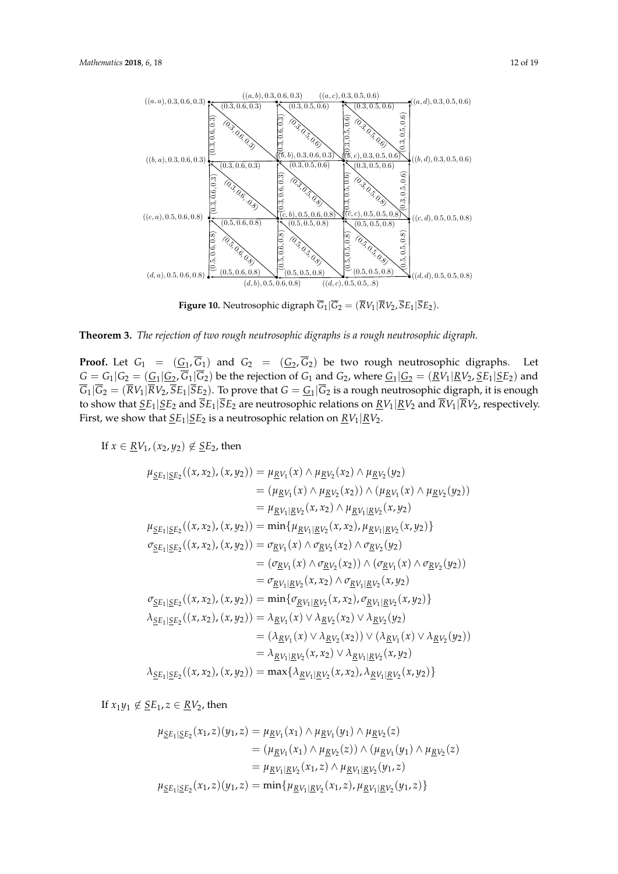<span id="page-11-0"></span>

**Figure 10.** Neutrosophic digraph  $G_1|G_2 = (RV_1|RV_2, SE_1|SE_2)$ .



 $\begin{bmatrix} 1 & \mathbf{c} & \mathbf{c} & \mathbf{c} & \mathbf{c} \\ \mathbf{c} & \mathbf{c} & \mathbf{c} & \mathbf{c} & \mathbf{c} & \mathbf{c} \end{bmatrix}$ , to the much nontreaching  $|G_2 = (G_1 | G_2, \overline{G_1} | \overline{G_2})$  be the rejection of  $G_1$  and  $G_2$ , where  $G_1 | G_2 =$ ve that  $G = \frac{G_1}{G_2}$  is a rough neutrosophic digraph, it is to show that  $\Sigma E_1|\Sigma E_2$  and  $\Sigma E_1|S E_2$  are neutrosophic relations on  $\underline{RV}_1|E$ <br>First, we show that  $\underline{SE}_1|\underline{SE}_2$  is a neutrosophic relation on  $\underline{RV}_1|\underline{RV}_2$ . to show that  $\underline{SE}_1|\underline{SE}_2$  and  $\overline{SE}_1|SE_2$  are neutrosophic relations on  $\underline{RV}_1|\underline{RV}_2$  and  $RV_1|RV_2$ , respectively.  $(\mathcal{L}_\mathcal{L}, \mathcal{L}_\mathcal{L})$  = min $(\mathcal{L}_\mathcal{L}, \mathcal{L}_\mathcal{L})$ **Proof.** Let  $G_1 = (G_1, G_1)$  and  $G_2 = (G_2, G_2)$  be two rough neutrosophic digraphs. Let  $G = G_1 | G_2 = (\underline{G}_1 | \underline{G}_2, G_1 | G_2)$  be the rejection of  $G_1$  and  $G_2$ , where  $\underline{G}_1 | \underline{G}_2 = (\underline{R} V_1 | \underline{R} V_2, \underline{S} E_1 | \underline{S} E_2)$  and  $G_1|G_2 = (RV_1|RV_2, SE_1|SE_2)$ . To prove that  $G = G_1|G_2$  is a rough neutrosophic digraph, it is enough

If  $x \in RV_1$ ,  $(x_2, y_2) \notin SE_2$ , then

$$
\mu_{\underline{SE}_{1}|\underline{SE}_{2}}((x, x_{2}), (x, y_{2})) = \mu_{\underline{RV}_{1}}(x) \wedge \mu_{\underline{RV}_{2}}(x_{2}) \wedge \mu_{\underline{RV}_{2}}(y_{2})
$$
\n
$$
= (\mu_{\underline{RV}_{1}}(x) \wedge \mu_{\underline{RV}_{2}}(x_{2})) \wedge (\mu_{\underline{RV}_{1}}(x) \wedge \mu_{\underline{RV}_{2}}(y_{2}))
$$
\n
$$
\mu_{\underline{SE}_{1}|\underline{SE}_{2}}((x, x_{2}), (x, y_{2})) = \min\{\mu_{\underline{RV}_{1}|\underline{RV}_{2}}(x, x_{2}), \mu_{\underline{RV}_{1}|\underline{RV}_{2}}(x, y_{2})\}
$$
\n
$$
\sigma_{\underline{SE}_{1}|\underline{SE}_{2}}((x, x_{2}), (x, y_{2})) = \sigma_{\underline{RV}_{1}}(x) \wedge \sigma_{\underline{RV}_{2}}(x_{2}), \mu_{\underline{RV}_{1}|\underline{RV}_{2}}(x, y_{2})\}
$$
\n
$$
= (\sigma_{\underline{RV}_{1}}(x) \wedge \sigma_{\underline{RV}_{2}}(x_{2})) \wedge (\sigma_{\underline{RV}_{1}}(x) \wedge \sigma_{\underline{RV}_{2}}(y_{2}))
$$
\n
$$
= \sigma_{\underline{RV}_{1}|\underline{RV}_{2}}(x, x_{2}) \wedge \sigma_{\underline{RV}_{1}|\underline{RV}_{2}}(x, y_{2})
$$
\n
$$
\sigma_{\underline{SE}_{1}|\underline{SE}_{2}}((x, x_{2}), (x, y_{2})) = \min\{\sigma_{\underline{RV}_{1}|\underline{RV}_{2}}(x, x_{2}), \sigma_{\underline{RV}_{1}|\underline{RV}_{2}}(x, y_{2})\}
$$
\n
$$
\sigma_{\underline{SE}_{1}|\underline{SE}_{2}}((x, x_{2}), (x, y_{2})) = \lambda_{\underline{RV}_{1}}(x) \vee \lambda_{\underline{RV}_{2}}(x_{2}) \vee \lambda_{\underline{RV}_{2}}(y_{2})
$$
\n
$$
= (\lambda_{\underline{RV}_{1}}(x) \vee \lambda_{\underline{RV}_{2}}(x_{2})) \vee (\lambda_{\underline{RV}_{1}}(x) \vee \lambda_{\underline{RV}_{2}}(y_{2}))
$$
\n
$$
= \lambda_{\underline
$$

If  $x_1y_1 \notin SE_1, z \in RV_2$ , then

$$
\mu_{\underline{SE}_1|\underline{SE}_2}(x_1, z)(y_1, z) = \mu_{\underline{RV}_1}(x_1) \wedge \mu_{\underline{RV}_1}(y_1) \wedge \mu_{\underline{RV}_2}(z)
$$
  
\n
$$
= (\mu_{\underline{RV}_1}(x_1) \wedge \mu_{\underline{RV}_2}(z)) \wedge (\mu_{\underline{RV}_1}(y_1) \wedge \mu_{\underline{RV}_2}(z))
$$
  
\n
$$
= \mu_{\underline{RV}_1|\underline{RV}_2}(x_1, z) \wedge \mu_{\underline{RV}_1|\underline{RV}_2}(y_1, z)
$$
  
\n
$$
\mu_{\underline{SE}_1|\underline{SE}_2}(x_1, z)(y_1, z) = \min{\{\mu_{\underline{RV}_1|\underline{RV}_2}(x_1, z), \mu_{\underline{RV}_1|\underline{RV}_2}(y_1, z)\}}
$$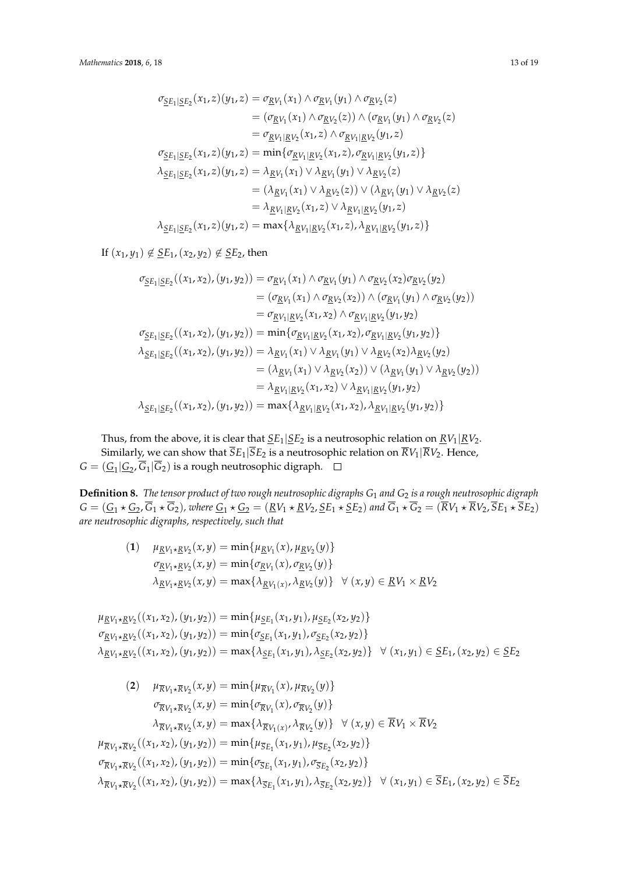$$
\sigma_{\underline{SE}_1|\underline{SE}_2}(x_1, z)(y_1, z) = \sigma_{\underline{RV}_1}(x_1) \wedge \sigma_{\underline{RV}_1}(y_1) \wedge \sigma_{\underline{RV}_2}(z)
$$
  
\n
$$
= (\sigma_{\underline{RV}_1}(x_1) \wedge \sigma_{\underline{RV}_2}(z)) \wedge (\sigma_{\underline{RV}_1}(y_1) \wedge \sigma_{\underline{RV}_2}(z)
$$
  
\n
$$
= \sigma_{\underline{RV}_1|\underline{RV}_2}(x_1, z) \wedge \sigma_{\underline{RV}_1|\underline{RV}_2}(y_1, z)
$$
  
\n
$$
\sigma_{\underline{SE}_1|\underline{SE}_2}(x_1, z)(y_1, z) = \min \{\sigma_{\underline{RV}_1|\underline{RV}_2}(x_1, z), \sigma_{\underline{RV}_1|\underline{RV}_2}(y_1, z)\}
$$
  
\n
$$
\lambda_{\underline{SE}_1|\underline{SE}_2}(x_1, z)(y_1, z) = \lambda_{\underline{RV}_1}(x_1) \vee \lambda_{\underline{RV}_1}(y_1) \vee \lambda_{\underline{RV}_2}(z)
$$
  
\n
$$
= (\lambda_{\underline{RV}_1}(x_1) \vee \lambda_{\underline{RV}_2}(z)) \vee (\lambda_{\underline{RV}_1}(y_1) \vee \lambda_{\underline{RV}_2}(z)
$$
  
\n
$$
= \lambda_{\underline{RV}_1|\underline{RV}_2}(x_1, z) \vee \lambda_{\underline{RV}_1|\underline{RV}_2}(y_1, z)
$$
  
\n
$$
\lambda_{\underline{SE}_1|\underline{SE}_2}(x_1, z)(y_1, z) = \max \{\lambda_{\underline{RV}_1|\underline{RV}_2}(x_1, z), \lambda_{\underline{RV}_1|\underline{RV}_2}(y_1, z)\}
$$

If  $(x_1, y_1) \notin \underline{SE}_1$ ,  $(x_2, y_2) \notin \underline{SE}_2$ , then

$$
\sigma_{\underline{SE}_1|\underline{SE}_2}((x_1, x_2), (y_1, y_2)) = \sigma_{\underline{RV}_1}(x_1) \wedge \sigma_{\underline{RV}_1}(y_1) \wedge \sigma_{\underline{RV}_2}(x_2) \sigma_{\underline{RV}_2}(y_2)
$$
  
\n
$$
= (\sigma_{\underline{RV}_1}(x_1) \wedge \sigma_{\underline{RV}_2}(x_2)) \wedge (\sigma_{\underline{RV}_1}(y_1) \wedge \sigma_{\underline{RV}_2}(y_2))
$$
  
\n
$$
\sigma_{\underline{SE}_1|\underline{SE}_2}((x_1, x_2), (y_1, y_2)) = \min\{\sigma_{\underline{RV}_1|\underline{RV}_2}(x_1, x_2), \sigma_{\underline{RV}_1|\underline{RV}_2}(y_1, y_2)\}
$$
  
\n
$$
\lambda_{\underline{SE}_1|\underline{SE}_2}((x_1, x_2), (y_1, y_2)) = \lambda_{\underline{RV}_1}(x_1) \vee \lambda_{\underline{RV}_1}(y_1) \vee \lambda_{\underline{RV}_2}(x_2) \lambda_{\underline{RV}_2}(y_2)
$$
  
\n
$$
= (\lambda_{\underline{RV}_1}(x_1) \vee \lambda_{\underline{RV}_2}(x_2)) \vee (\lambda_{\underline{RV}_1}(y_1) \vee \lambda_{\underline{RV}_2}(y_2))
$$
  
\n
$$
= \lambda_{\underline{RV}_1|\underline{RV}_2}(x_1, x_2) \vee \lambda_{\underline{RV}_1|\underline{RV}_2}(y_1, y_2)
$$
  
\n
$$
\lambda_{\underline{SE}_1|\underline{SE}_2}((x_1, x_2), (y_1, y_2)) = \max\{\lambda_{\underline{RV}_1|\underline{RV}_2}(x_1, x_2), \lambda_{\underline{RV}_1|\underline{RV}_2}(y_1, y_2)\}
$$

Thus, from the above, it is clear that  $\underline{SE}_1|\underline{SE}_2$  is a neutrosophic relation on  $\underline{RV}_1|\underline{RV}_2$ . Similarly, we can show that  $\overline{S}E_1|\overline{S}E_2$  is a neutrosophic relation on  $\overline{R}V_1|\overline{R}V_2$ . Hence,  $G = (\underline{G}_1 | \underline{G}_2, G_1 | G_2)$  is a rough neutrosophic digraph.

**Definition 8.** *The tensor product of two rough neutrosophic digraphs G*<sup>1</sup> *and G*<sup>2</sup> *is a rough neutrosophic digraph*  $G = (\underline{G}_1 \star \underline{G}_2, G_1 \star G_2)$ , where  $\underline{G}_1 \star \underline{G}_2 = (\underline{R}V_1 \star \underline{R}V_2, \underline{S}E_1 \star \underline{S}E_2)$  and  $G_1 \star G_2 = (RV_1 \star RV_2, SE_1 \star SE_2)$ *are neutrosophic digraphs, respectively, such that*

(1) 
$$
\mu_{\underline{R}V_1 \star \underline{R}V_2}(x, y) = \min\{\mu_{\underline{R}V_1}(x), \mu_{\underline{R}V_2}(y)\}
$$

$$
\sigma_{\underline{R}V_1 \star \underline{R}V_2}(x, y) = \min\{\sigma_{\underline{R}V_1}(x), \sigma_{\underline{R}V_2}(y)\}
$$

$$
\lambda_{\underline{R}V_1 \star \underline{R}V_2}(x, y) = \max\{\lambda_{\underline{R}V_1(x)}, \lambda_{\underline{R}V_2}(y)\} \quad \forall (x, y) \in \underline{R}V_1 \times \underline{R}V_2
$$

$$
\mu_{\underline{R}V_1 \star \underline{R}V_2}((x_1, x_2), (y_1, y_2)) = \min\{\mu_{\underline{S}E_1}(x_1, y_1), \mu_{\underline{S}E_2}(x_2, y_2)\}
$$
  
\n
$$
\sigma_{\underline{R}V_1 \star \underline{R}V_2}((x_1, x_2), (y_1, y_2)) = \min\{\sigma_{\underline{S}E_1}(x_1, y_1), \sigma_{\underline{S}E_2}(x_2, y_2)\}
$$
  
\n
$$
\lambda_{\underline{R}V_1 \star \underline{R}V_2}((x_1, x_2), (y_1, y_2)) = \max\{\lambda_{\underline{S}E_1}(x_1, y_1), \lambda_{\underline{S}E_2}(x_2, y_2)\} \quad \forall (x_1, y_1) \in \underline{S}E_1, (x_2, y_2) \in \underline{S}E_2
$$

$$
(2) \quad \mu_{\overline{R}V_1 \star \overline{R}V_2}(x,y) = \min\{\mu_{\overline{R}V_1}(x), \mu_{\overline{R}V_2}(y)\}
$$
\n
$$
\sigma_{\overline{R}V_1 \star \overline{R}V_2}(x,y) = \min\{\sigma_{\overline{R}V_1}(x), \sigma_{\overline{R}V_2}(y)\}
$$
\n
$$
\lambda_{\overline{R}V_1 \star \overline{R}V_2}(x,y) = \max\{\lambda_{\overline{R}V_1(x)}, \lambda_{\overline{R}V_2}(y)\} \quad \forall (x,y) \in \overline{R}V_1 \times \overline{R}V_2
$$
\n
$$
\mu_{\overline{R}V_1 \star \overline{R}V_2}((x_1, x_2), (y_1, y_2)) = \min\{\mu_{\overline{S}E_1}(x_1, y_1), \mu_{\overline{S}E_2}(x_2, y_2)\}
$$
\n
$$
\sigma_{\overline{R}V_1 \star \overline{R}V_2}((x_1, x_2), (y_1, y_2)) = \min\{\sigma_{\overline{S}E_1}(x_1, y_1), \sigma_{\overline{S}E_2}(x_2, y_2)\}
$$
\n
$$
\lambda_{\overline{R}V_1 \star \overline{R}V_2}((x_1, x_2), (y_1, y_2)) = \max\{\lambda_{\overline{S}E_1}(x_1, y_1), \lambda_{\overline{S}E_2}(x_2, y_2)\} \quad \forall (x_1, y_1) \in \overline{S}E_1, (x_2, y_2) \in \overline{S}E_2
$$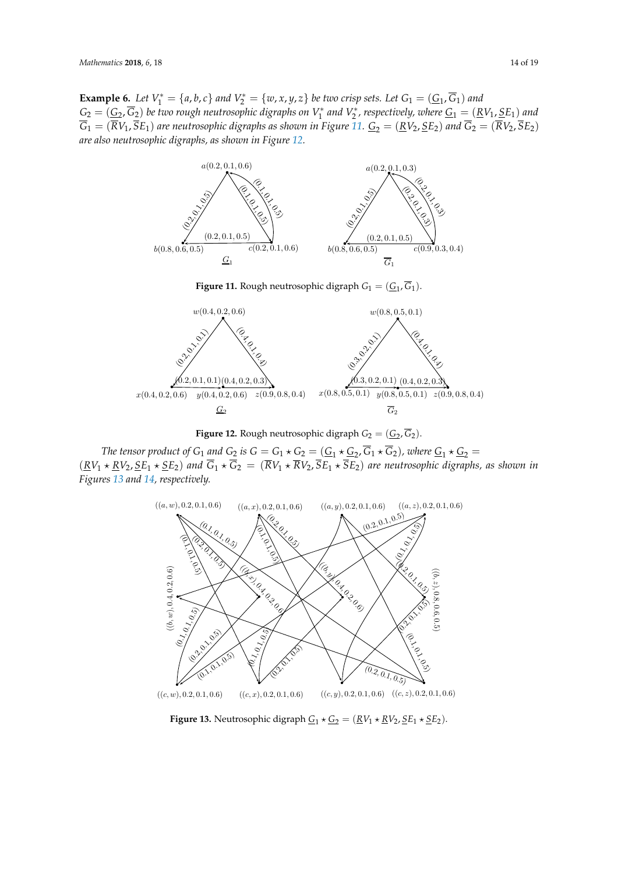**Example 6.** Let  $V_1^* = \{a, b, c\}$  and  $V_2^* = \{w, x, y, z\}$  be two crisp sets. Let  $G_1 = (\underline{G}_1, G_1)$  and  $G_2 = (\underline{G}_2, G_2)$  be two rough neutrosophic digraphs on  $V_1^*$  and  $V_2^*$ , respectively, where  $\underline{G}_1 = (\underline{R} V_1, \underline{S} E_1)$  and  $\overline{G}_1 = (\overline{R}V_1, \overline{S}E_1)$  are neutrosophic digraphs as shown in Figure [11.](#page-13-0)  $\underline{G}_2 = (\underline{R}V_2, \underline{S}E_2)$  and  $\overline{G}_2 = (\overline{R}V_2, \overline{S}E_2)$ *are also neutrosophic digraphs, as shown in Figure [12.](#page-13-1)*

<span id="page-13-0"></span>

**Figure 12.** Rough neutrosophic digraph  $G_2 = (\underline{G}_2, \overline{G}_2)$ .  $\epsilon$ 

<span id="page-13-2"></span><span id="page-13-1"></span>bance by  $\Theta_1$  and  $\overline{G_2}$  to  $\overline{G_1} \times \overline{G_2} = (\overline{R}V_1 \times \overline{R}V_2) \overline{S}E_1 \times \overline{S}E_2)$  are neutrosonhic diories (0.<sup>1</sup>(0.<sup>1</sup>*Figures [13](#page-13-2) and [14,](#page-14-0) respectively.* , <sup>0</sup>.<sup>1</sup> $KV_1$   $\star$   $KV_2$ ,  $SE_1$   $\star$   $SE_2$ ) are neut  $\overline{\mathcal{B}}(k \Sigma E_1)$  and  $\overline{G}_1 \star \overline{G}_2 = (\overline{R}V_1 \star \overline{R}V_2, \overline{S}E_1 \star \overline{S}E_2)$  are neutrosophic digrations  $(N_1 * N_2, 3E_1 * 3E_2)$  are near *The tensor product of G*<sub>1</sub> *and G*<sub>2</sub> *is G* =  $G_1 \star G_2$  =  $(\underline{G}_1 \star \underline{G}_2, G_1 \star G_2)$ , where  $\underline{G}_1 \star \underline{G}_2$  =  $(RV_1 \star RV_2, SE_1 \star SE_2)$  and  $\overline{G}_1 \star \overline{G}_2 = (\overline{R}V_1 \star \overline{R}V_2, \overline{S}E_1 \star \overline{S}E_2)$  are neutrosophic digraphs, as shown in  $\frac{1}{2}$  $\mathcal{E}$  and  $\mathcal{E}$  = (G2  $=$  (G2  $=$  (G2  $=$  G2  $=$  (G2  $=$  G2  $=$  G2  $=$  G2  $=$  G2  $=$  G2  $=$  G2  $=$  G2  $=$  G2  $=$  G2  $=$  G2  $=$  G2  $=$  G2  $=$  G2  $=$  G2  $=$  G2  $=$  G2  $=$  G2  $=$  G2  $=$  G2  $=$  G2  $=$  G2  $=$  G2  $=$  G2



**Figure 13.** Neutrosophic digraph  $\underline{G}_1 \star \underline{G}_2 = (\underline{R}V_1 \star \underline{R}V_2, \underline{S}E_1 \star \underline{S}E_2)$ .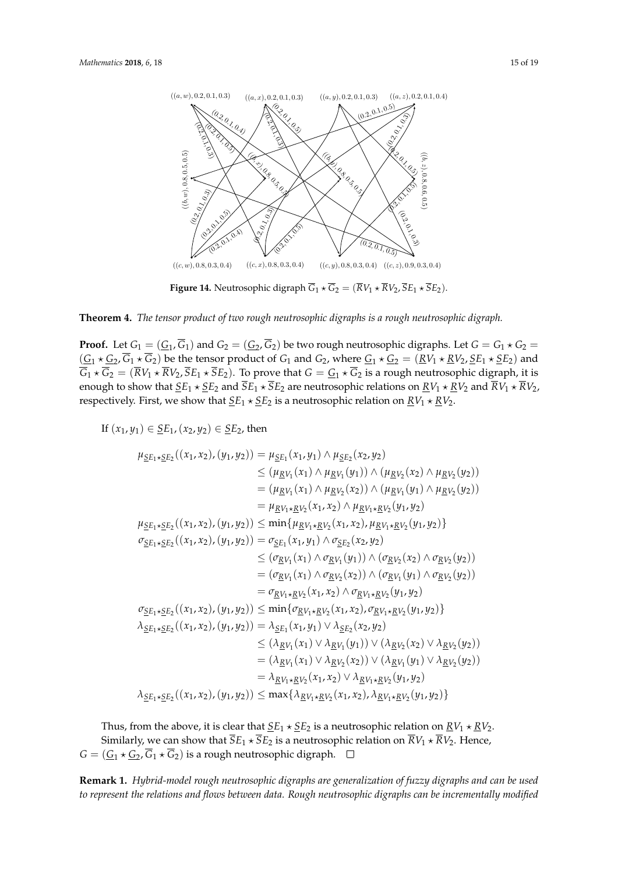<span id="page-14-0"></span>

**Figure 14.** Neutrosophic digraph  $G_1 \star G_2 = (RV_1 \star RV_2, SE_1 \star SE_2).$ 

## **Theorem 4.** *The tensor product of two rough neutrosophic digraphs is a rough neutrosophic digraph.*

**Proof.** Let  $G_1 = (\underline{G}_1, \overline{G}_1)$  and  $G_2 = (\underline{G}_2, \overline{G}_2)$  be two rough neutrosophic digraphs. Let  $G = G_1 * G_2$  $(\underline{G_1} \star \underline{G_2}, G_1 \star G_2)$  be the tensor product of  $G_1$  and  $G_2$ , where  $\underline{G_1} \star \underline{G_2} = (\underline{R}V_1 \star \underline{R}V_2, \underline{S}E_1 \star \underline{S}E_2)$  and  $G_1 \star G_2 = (RV_1 \star RV_2, SE_1 \star SE_2)$ . To prove that  $G = G_1 \star G_2$  is a rough neutrosophic digraph, it is enough to show that  $\overline{SE}_1 \star \overline{SE}_2$  and  $\overline{SE}_1 \star \overline{SE}_2$  are neutrosophic relations on  $\overline{RV}_1 \star \overline{RV}_2$  and  $\overline{RV}_1 \star \overline{RV}_2$ , respectively. First, we show that  $\underline{SE}_1 \star \underline{SE}_2$  is a neutrosophic relation on  $\underline{RV}_1 \star \underline{RV}_2$ .

If  $(x_1, y_1) \in \underline{SE}_1$ ,  $(x_2, y_2) \in \underline{SE}_2$ , then  $\sim$ 

$$
\mu_{\leq E_1 \star \leq E_2}((x_1, x_2), (y_1, y_2)) = \mu_{\leq E_1}(x_1, y_1) \wedge \mu_{\leq E_2}(x_2, y_2)
$$
\n
$$
\leq (\mu_{\leq V_1}(x_1) \wedge \mu_{\leq V_1}(y_1)) \wedge (\mu_{\leq V_2}(x_2) \wedge \mu_{\leq V_2}(y_2))
$$
\n
$$
= (\mu_{\leq V_1}(x_1) \wedge \mu_{\leq V_2}(x_2)) \wedge (\mu_{\leq V_1}(y_1) \wedge \mu_{\leq V_2}(y_2))
$$
\n
$$
= \mu_{\leq V_1 \star \leq V_2}(x_1, x_2) \wedge \mu_{\leq V_1 \star \leq V_2}(y_1, y_2)
$$
\n
$$
\mu_{\leq E_1 \star \leq E_2}((x_1, x_2), (y_1, y_2)) \leq \min{\{\mu_{\leq V_1 \star \leV_2}(x_1, x_2), \mu_{\leq V_1 \star \leV_2}(y_1, y_2)\}}}
$$
\n
$$
\sigma_{\leq E_1 \star \leq E_2}((x_1, x_2), (y_1, y_2)) = \sigma_{\leq E_1}(x_1, y_1) \wedge \sigma_{\leq E_2}(x_2, y_2)
$$
\n
$$
\leq (\sigma_{\leq V_1}(x_1) \wedge \sigma_{\leq V_1}(y_1)) \wedge (\sigma_{\leq V_2}(x_2) \wedge \sigma_{\leq V_2}(y_2))
$$
\n
$$
= (\sigma_{\leq V_1}(x_1) \wedge \sigma_{\leq V_2}(x_2)) \wedge (\sigma_{\leq V_1}(y_1) \wedge \sigma_{\leq V_2}(y_2))
$$
\n
$$
= \sigma_{\leq V_1 \star \leV_2}(x_1, x_2) \wedge \sigma_{\leq V_1 \star \leV_2}(y_1, y_2)
$$
\n
$$
\sigma_{\leq E_1 \star \leE_2}((x_1, x_2), (y_1, y_2)) \leq \min{\{\sigma_{\leq V_1 \star \leV_
$$

Thus, from the above, it is clear that  $\underline{SE}_1 \star \underline{SE}_2$  is a neutrosophic relation on  $\underline{RV}_1 \star \underline{RV}_2$ . Similarly, we can show that  $\overline{S}E_1 \star \overline{S}E_2$  is a neutrosophic relation on  $\overline{R}V_1 \star \overline{R}V_2$ . Hence,  $G = (\underline{G}_1 \star \underline{G}_2, G_1 \star G_2)$  is a rough neutrosophic digraph.

**Remark 1.** *Hybrid-model rough neutrosophic digraphs are generalization of fuzzy digraphs and can be used to represent the relations and flows between data. Rough neutrosophic digraphs can be incrementally modified*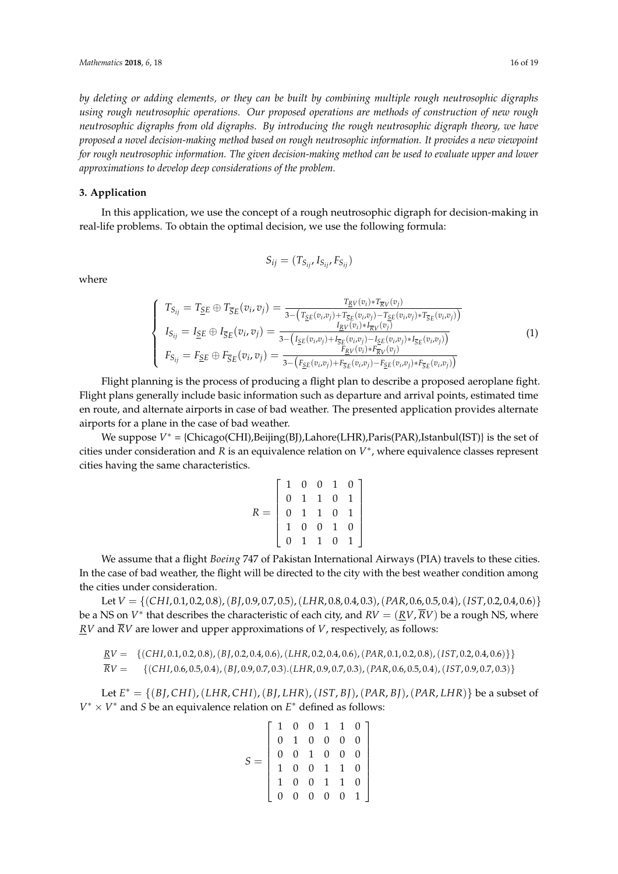*by deleting or adding elements, or they can be built by combining multiple rough neutrosophic digraphs using rough neutrosophic operations. Our proposed operations are methods of construction of new rough neutrosophic digraphs from old digraphs. By introducing the rough neutrosophic digraph theory, we have proposed a novel decision-making method based on rough neutrosophic information. It provides a new viewpoint for rough neutrosophic information. The given decision-making method can be used to evaluate upper and lower approximations to develop deep considerations of the problem.*

### **3. Application**

In this application, we use the concept of a rough neutrosophic digraph for decision-making in real-life problems. To obtain the optimal decision, we use the following formula:

$$
S_{ij} = (T_{S_{ij}}, I_{S_{ij}}, F_{S_{ij}})
$$

where

<span id="page-15-0"></span>
$$
\begin{cases}\nT_{S_{ij}} = T_{\underline{S}E} \oplus T_{\overline{S}E}(v_i, v_j) = \frac{T_{\underline{R}V}(v_i) * T_{\overline{R}V}(v_j)}{3 - (T_{\underline{S}E}(v_i, v_j) + T_{\overline{S}E}(v_i, v_j) - T_{\underline{S}E}(v_i, v_j) * T_{\overline{S}E}(v_i, v_j))} \\
I_{S_{ij}} = I_{\underline{S}E} \oplus I_{\overline{S}E}(v_i, v_j) = \frac{I_{\underline{R}V}(v_i) * I_{\overline{R}V}(v_j)}{3 - (I_{\underline{S}E}(v_i, v_j) + I_{\overline{S}E}(v_i, v_j) - I_{\underline{S}E}(v_i, v_j) * I_{\overline{S}E}(v_i, v_j))} \\
F_{S_{ij}} = F_{\underline{S}E} \oplus F_{\overline{S}E}(v_i, v_j) = \frac{F_{\underline{R}V}(v_i) * F_{\overline{R}V}(v_j)}{3 - (F_{\underline{S}E}(v_i, v_j) + F_{\overline{S}E}(v_i, v_j) - F_{\underline{S}E}(v_i, v_j) * F_{\overline{S}E}(v_i, v_j))}\n\end{cases} (1)
$$

Flight planning is the process of producing a flight plan to describe a proposed aeroplane fight. Flight plans generally include basic information such as departure and arrival points, estimated time en route, and alternate airports in case of bad weather. The presented application provides alternate airports for a plane in the case of bad weather.

We suppose  $V^* =$  {Chicago(CHI),Beijing(BJ),Lahore(LHR),Paris(PAR),Istanbul(IST)} is the set of cities under consideration and *R* is an equivalence relation on  $V^*$ , where equivalence classes represent cities having the same characteristics.

$$
R = \left[ \begin{array}{rrrrr} 1 & 0 & 0 & 1 & 0 \\ 0 & 1 & 1 & 0 & 1 \\ 0 & 1 & 1 & 0 & 1 \\ 1 & 0 & 0 & 1 & 0 \\ 0 & 1 & 1 & 0 & 1 \end{array} \right]
$$

We assume that a flight *Boeing* 747 of Pakistan International Airways (PIA) travels to these cities. In the case of bad weather, the flight will be directed to the city with the best weather condition among the cities under consideration.

Let *V* = {(*CHI*, 0.1, 0.2, 0.8),(*BJ*, 0.9, 0.7, 0.5),(*LHR*, 0.8, 0.4, 0.3),(*PAR*, 0.6, 0.5, 0.4),(*IST*, 0.2, 0.4, 0.6)} be a NS on  $V^*$  that describes the characteristic of each city, and  $RV = (\underline{RV}, RV)$  be a rough NS, where  $\underline{RV}$  and  $\overline{RV}$  are lower and upper approximations of *V*, respectively, as follows:

$$
\underline{RV} = \{ (CHI, 0.1, 0.2, 0.8), (BJ, 0.2, 0.4, 0.6), (LHR, 0.2, 0.4, 0.6), (PAR, 0.1, 0.2, 0.8), (IST, 0.2, 0.4, 0.6) \} \}
$$
\n
$$
\overline{RV} = \{ (CHI, 0.6, 0.5, 0.4), (BJ, 0.9, 0.7, 0.3), (LHR, 0.9, 0.7, 0.3), (PAR, 0.6, 0.5, 0.4), (IST, 0.9, 0.7, 0.3) \}
$$

Let *E* <sup>∗</sup> = {(*B J*, *CH I*),(*LHR*, *CH I*),(*B J*, *LHR*),(*IST*, *B J*),(*PAR*, *B J*),(*PAR*, *LHR*)} be a subset of *V* <sup>∗</sup> × *V* ∗ and *S* be an equivalence relation on *E* ∗ defined as follows:

$$
S = \left[ \begin{array}{cccccc} 1 & 0 & 0 & 1 & 1 & 0 \\ 0 & 1 & 0 & 0 & 0 & 0 \\ 0 & 0 & 1 & 0 & 0 & 0 \\ 1 & 0 & 0 & 1 & 1 & 0 \\ 1 & 0 & 0 & 1 & 1 & 0 \\ 0 & 0 & 0 & 0 & 0 & 1 \end{array} \right]
$$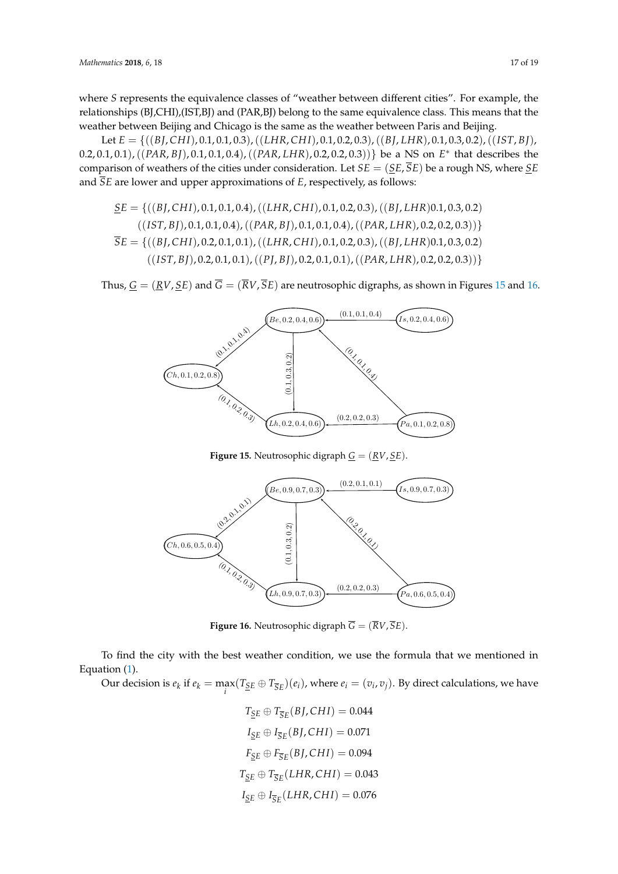where *S* represents the equivalence classes of "weather between different cities". For example, the where 3 represents the equivalence classes of weather between unferent crites. This means that the relationships (BJ,CHI),(IST,BJ) and (PAR,BJ) belong to the same equivalence class. This means that the relationships (BJ, Erm),(Erp)) and (ITH),BJ) sering to the same equivalence ease. This mean<br>weather between Beijing and Chicago is the same as the weather between Paris and Beijing.

Let  $E = \{((BJ,CHI), 0.1, 0.1, 0.3), ((LHR, CHI), 0.1, 0.2, 0.3), ((BJ, LHR), 0.1, 0.3, 0.2), ((IST, BI),$ 0.2,0.1,0.1), ((PAR, BJ),0.1,0.1,0.4), ((PAR, LHR),0.2,0.2,0.3))} be a NS on  $E^*$  that describes the comparison of weathers of the cities under consideration. Let  $SE = (\underline{SE}, \overline{SE})$  be a rough NS, where  $\underline{SE}$ and *SE* are lower and upper approximations of *E*, respectively, as follows: SE = {((BJ, CHI), 0.1, 0.1, 0.4),((LHR, CHI), 0.1, 0.2, 0.3),((BJ, LHR)0.1, 0.3, 0.2),

$$
\underline{SE} = \{((BJ, CHI), 0.1, 0.1, 0.4), ((LHR, CHI), 0.1, 0.2, 0.3), ((BJ, LHR)0.1, 0.3, 0.2) \newline ((IST, BJ), 0.1, 0.1, 0.4), ((PAR, BJ), 0.1, 0.1, 0.4), ((PAR, LHR), 0.2, 0.2, 0.3))\}
$$
\n
$$
\overline{SE} = \{((BJ, CHI), 0.2, 0.1, 0.1), ((LHR, CHI), 0.1, 0.2, 0.3), ((BJ, LHR)0.1, 0.3, 0.2) \newline ((IST, BJ), 0.2, 0.1, 0.1), ((PJ, BJ), 0.2, 0.1, 0.1), ((PAR, LHR), 0.2, 0.2, 0.3))\}
$$

<span id="page-16-0"></span>Thus,  $\underline{G} = (\underline{R}V, \underline{S}E)$  and  $G = (RV, SE)$  are neutrosophic digraphs, as shown in Figures 15 and [16.](#page-16-1) Thus,  $\underline{G} = (\underline{R}V, \underline{S}E)$  and  $G = (RV, SE)$  are neutrosophic digraphs, as shown in Figures 15 and



**Figure 15.** Neutrosophic digraph  $\underline{G} = (\underline{R}V, \underline{SE})$ .

<span id="page-16-1"></span>

Figure 16: G = (RV, SE) **Figure 16.** Neutrosophic digraph *G* = (*RV*, *SE*).

To find the city with the best weather condition, we use the formula that we mentioned in uation  $(1)$ Equation [\(1\)](#page-15-0).

 $\frac{\text{Equation (1)}}{\text{Equation is } \theta_1}$  if  $\theta_2 = \text{max}$ Our decision is  $e_k$  if  $e_k = \max_i (T_{\underline{S}E} \oplus T_{\overline{S}E})(e_i)$ , where  $e_i = (v_i, v_j)$ . By direct calculations, we have

$$
T_{\underline{SE}} \oplus T_{\overline{SE}}(BJ, CHI) = 0.044
$$
  
\n
$$
I_{\underline{SE}} \oplus I_{\overline{SE}}(BJ, CHI) = 0.071
$$
  
\n
$$
F_{\underline{SE}} \oplus F_{\overline{SE}}(BJ, CHI) = 0.094
$$
  
\n
$$
T_{\underline{SE}} \oplus T_{\overline{SE}}(LHR, CHI) = 0.043
$$
  
\n
$$
I_{\underline{SE}} \oplus I_{\overline{SE}}(LHR, CHI) = 0.076
$$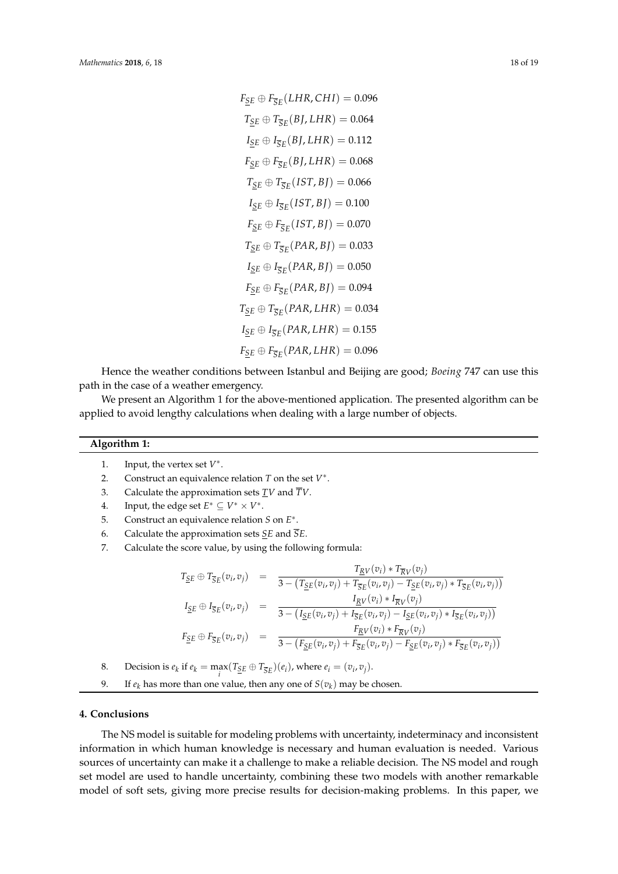$F_{SE} \oplus F_{\overline{S}E}$ (*LHR*, *CHI*) = 0.096  $T_{SE} \oplus T_{\overline{S}E}(BJ,LHR) = 0.064$  $I_{\underline{SE}} \oplus I_{\overline{SE}}(BJ, LHR) = 0.112$  $F_{SE} \oplus F_{\overline{S}F}(BJ, LHR) = 0.068$  $T_{SE} \oplus T_{\overline{S}E} (IST, BI) = 0.066$  $I_{\underline{SE}} \oplus I_{\overline{SE}}(IST, BJ) = 0.100$  $F_{SE} \oplus F_{\overline{S}E} (IST, BI) = 0.070$  $T_{SE} \oplus T_{\overline{S}E}(PAR,BI) = 0.033$  $I_{\underline{SE}} \oplus I_{\overline{SE}}(PAR,BI) = 0.050$  $F_{SE} \oplus F_{\overline{SE}}(PAR, BI) = 0.094$  $T_{SE} \oplus T_{\overline{S}E}(PAR, LHR) = 0.034$  $I_{\underline{SE}} \oplus I_{\overline{SE}}(PAR, LHR) = 0.155$  $F_{SE} \oplus F_{\overline{SE}}(PAR, LHR) = 0.096$ 

Hence the weather conditions between Istanbul and Beijing are good; *Boeing* 747 can use this path in the case of a weather emergency.

We present an Algorithm 1 for the above-mentioned application. The presented algorithm can be applied to avoid lengthy calculations when dealing with a large number of objects.

## **Algorithm 1:**

- 1. Input, the vertex set  $V^*$ .
- 2. Construct an equivalence relation *T* on the set *V* ∗ .
- 3. Calculate the approximation sets *TV* and *TV*.
- 4. Input, the edge set  $E^* \subseteq V^* \times V^*$ .
- 5. Construct an equivalence relation *S* on *E* ∗ .
- 6. Calculate the approximation sets *SE* and *SE*.
- 7. Calculate the score value, by using the following formula:

$$
T_{\underline{S}E} \oplus T_{\overline{S}E}(v_i, v_j) = \frac{T_{\underline{R}V}(v_i) * T_{\overline{R}V}(v_j)}{3 - (T_{\underline{S}E}(v_i, v_j) + T_{\overline{S}E}(v_i, v_j) - T_{\underline{S}E}(v_i, v_j) * T_{\overline{S}E}(v_i, v_j))}
$$
  
\n
$$
I_{\underline{S}E} \oplus I_{\overline{S}E}(v_i, v_j) = \frac{I_{\underline{R}V}(v_i) * I_{\overline{R}V}(v_j)}{3 - (I_{\underline{S}E}(v_i, v_j) + I_{\overline{S}E}(v_i, v_j) - I_{\underline{S}E}(v_i, v_j) * I_{\overline{S}E}(v_i, v_j))}
$$
  
\n
$$
F_{\underline{S}E} \oplus F_{\overline{S}E}(v_i, v_j) = \frac{F_{\underline{R}V}(v_i) * F_{\overline{R}V}(v_j)}{3 - (F_{\underline{S}E}(v_i, v_j) + F_{\overline{S}E}(v_i, v_j) - F_{\underline{S}E}(v_i, v_j) * F_{\overline{S}E}(v_i, v_j))}
$$

8. Decision is  $e_k$  if  $e_k = \max_i (T_{\underline{S}E} \oplus T_{\overline{S}E})(e_i)$ , where  $e_i = (v_i, v_j)$ .

9. If  $e_k$  has more than one value, then any one of  $S(v_k)$  may be chosen.

### **4. Conclusions**

The NS model is suitable for modeling problems with uncertainty, indeterminacy and inconsistent information in which human knowledge is necessary and human evaluation is needed. Various sources of uncertainty can make it a challenge to make a reliable decision. The NS model and rough set model are used to handle uncertainty, combining these two models with another remarkable model of soft sets, giving more precise results for decision-making problems. In this paper, we